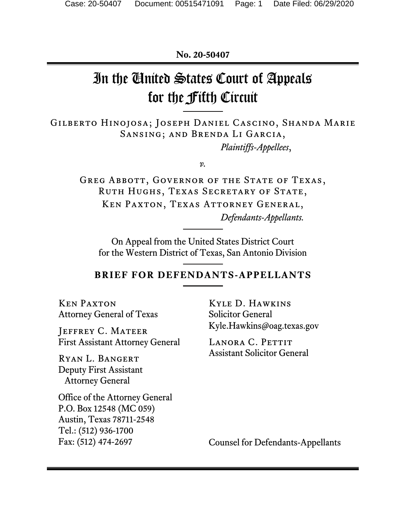**No. 20-50407**

# In the United States Court of Appeals for the Fifth Circuit

Gilberto Hinojosa; Joseph Daniel Cascino, Shanda Marie Sansing; and Brenda Li Garcia, *Plaintiffs-Appellees*,

*v.*

Greg Abbott, Governor of the State of Texas, RUTH HUGHS, TEXAS SECRETARY OF STATE, Ken Paxton, Texas Attorney General, *Defendants-Appellants.*

On Appeal from the United States District Court for the Western District of Texas, San Antonio Division

## **BRIEF FOR DEFENDANTS-APPELLANTS**

Ken Paxton Attorney General of Texas

Jeffrey C. Mateer First Assistant Attorney General

Ryan L. Bangert Deputy First Assistant Attorney General

Office of the Attorney General P.O. Box 12548 (MC 059) Austin, Texas 78711-2548 Tel.: (512) 936-1700 Fax: (512) 474-2697

Kyle D. Hawkins Solicitor General Kyle.Hawkins@oag.texas.gov

LANORA C. PETTIT Assistant Solicitor General

Counsel for Defendants-Appellants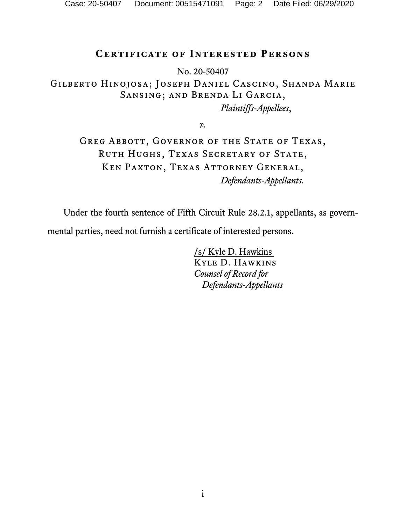#### **Certificate of Interested Persons**

No. 20-50407 Gilberto Hinojosa; Joseph Daniel Cascino, Shanda Marie Sansing; and Brenda Li Garcia, *Plaintiffs-Appellees*,

*v.*

GREG ABBOTT, GOVERNOR OF THE STATE OF TEXAS, RUTH HUGHS, TEXAS SECRETARY OF STATE, Ken Paxton, Texas Attorney General, *Defendants-Appellants.*

Under the fourth sentence of Fifth Circuit Rule 28.2.1, appellants, as governmental parties, need not furnish a certificate of interested persons.

> /s/ Kyle D. Hawkins Kyle D. Hawkins *Counsel of Record for Defendants-Appellants*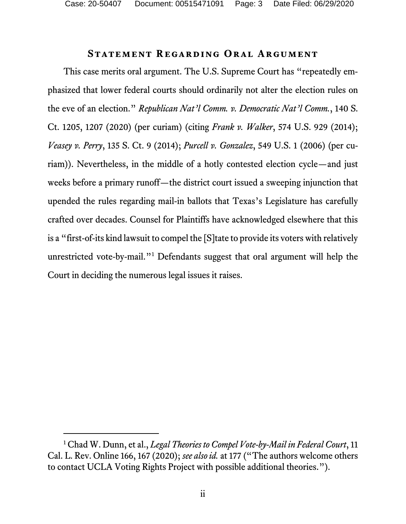Case: 20-50407 Document: 00515471091 Page: 3 Date Filed: 06/29/2020

#### <span id="page-2-2"></span><span id="page-2-1"></span>**Statement Regarding Oral Argument**

<span id="page-2-3"></span>This case merits oral argument. The U.S. Supreme Court has "repeatedly emphasized that lower federal courts should ordinarily not alter the election rules on the eve of an election." *Republican Nat'l Comm. v. Democratic Nat'l Comm.*, 140 S. Ct. 1205, 1207 (2020) (per curiam) (citing *Frank v. Walker*, 574 U.S. 929 (2014); *Veasey v. Perry*, 135 S. Ct. 9 (2014); *Purcell v. Gonzalez*, 549 U.S. 1 (2006) (per curiam)). Nevertheless, in the middle of a hotly contested election cycle—and just weeks before a primary runoff—the district court issued a sweeping injunction that upended the rules regarding mail-in ballots that Texas's Legislature has carefully crafted over decades. Counsel for Plaintiffs have acknowledged elsewhere that this is a "first-of-its kind lawsuit to compel the [S]tate to provide its voters with relatively unrestricted vote-by-mail."[1](#page-2-0) Defendants suggest that oral argument will help the Court in deciding the numerous legal issues it raises.

<span id="page-2-4"></span><span id="page-2-0"></span> <sup>1</sup> Chad W. Dunn, et al., *Legal Theories to Compel Vote-by-Mail in Federal Court*, 11 Cal. L. Rev. Online 166, 167 (2020); *see also id.* at 177 ("The authors welcome others to contact UCLA Voting Rights Project with possible additional theories.").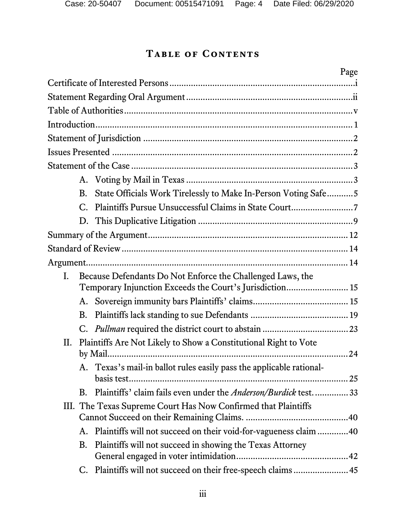## **Table of Contents**

|    |           | Page                                                                  |
|----|-----------|-----------------------------------------------------------------------|
|    |           |                                                                       |
|    |           |                                                                       |
|    |           |                                                                       |
|    |           |                                                                       |
|    |           |                                                                       |
|    |           |                                                                       |
|    |           |                                                                       |
|    |           |                                                                       |
|    | B.        | State Officials Work Tirelessly to Make In-Person Voting Safe5        |
|    | С.        |                                                                       |
|    |           |                                                                       |
|    |           |                                                                       |
|    |           |                                                                       |
|    |           |                                                                       |
| I. |           | Because Defendants Do Not Enforce the Challenged Laws, the            |
|    |           | Temporary Injunction Exceeds the Court's Jurisdiction 15              |
|    |           |                                                                       |
|    | <b>B.</b> |                                                                       |
|    | C.        |                                                                       |
| П. |           | Plaintiffs Are Not Likely to Show a Constitutional Right to Vote      |
|    |           | by Mail                                                               |
|    | А.        | Texas's mail-in ballot rules easily pass the applicable rational-     |
|    |           |                                                                       |
|    | B.        | Plaintiffs' claim fails even under the <i>Anderson/Burdick</i> test33 |
|    |           | III. The Texas Supreme Court Has Now Confirmed that Plaintiffs        |
|    | A.        | Plaintiffs will not succeed on their void-for-vagueness claim 40      |
|    | В.        | Plaintiffs will not succeed in showing the Texas Attorney             |
|    | C.        | Plaintiffs will not succeed on their free-speech claims  45           |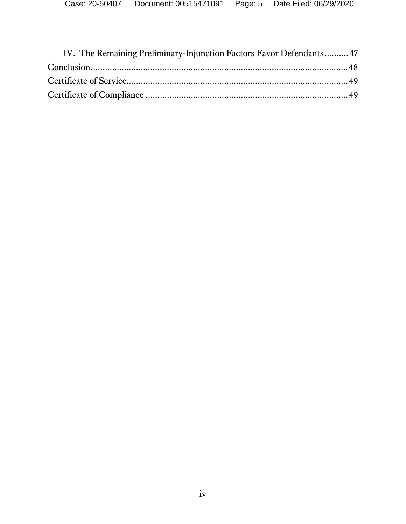| IV. The Remaining Preliminary-Injunction Factors Favor Defendants 47 |  |
|----------------------------------------------------------------------|--|
|                                                                      |  |
|                                                                      |  |
|                                                                      |  |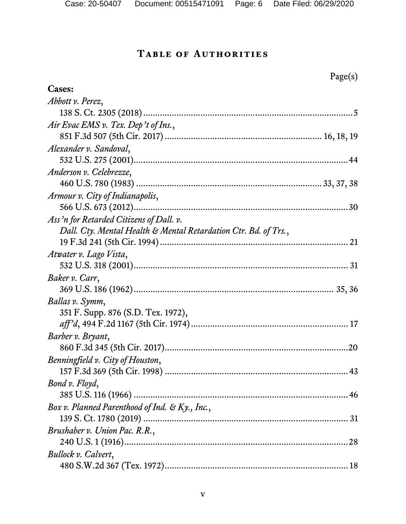## **Table of Authorities**

|                                                                 | Page(s) |
|-----------------------------------------------------------------|---------|
| <b>Cases:</b>                                                   |         |
| Abbott v. Perez,                                                |         |
|                                                                 |         |
| Air Evac EMS v. Tex. Dep't of Ins.,                             |         |
|                                                                 |         |
| Alexander v. Sandoval,                                          |         |
|                                                                 |         |
| Anderson v. Celebrezze,                                         |         |
|                                                                 |         |
| Armour v. City of Indianapolis,                                 |         |
|                                                                 |         |
| Ass'n for Retarded Citizens of Dall. v.                         |         |
| Dall. Cty. Mental Health & Mental Retardation Ctr. Bd. of Trs., |         |
|                                                                 |         |
| Atwater v. Lago Vista,                                          |         |
|                                                                 |         |
| Baker v. Carr,                                                  |         |
|                                                                 |         |
| Ballas v. Symm,                                                 |         |
| 351 F. Supp. 876 (S.D. Tex. 1972),                              |         |
|                                                                 |         |
| Barber v. Bryant,                                               |         |
|                                                                 | .20     |
| Benningfield v. City of Houston,                                |         |
|                                                                 |         |
| Bond v. Floyd,                                                  |         |
|                                                                 |         |
| Box v. Planned Parenthood of Ind. & Ky., Inc.,                  |         |
|                                                                 |         |
| Brushaber v. Union Pac. R.R.,                                   |         |
|                                                                 |         |
| Bullock v. Calvert,                                             |         |
|                                                                 |         |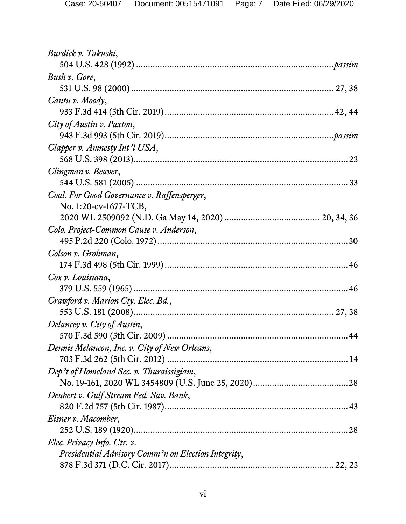| Burdick v. Takushi,                                 |
|-----------------------------------------------------|
|                                                     |
| Bush v. Gore,                                       |
|                                                     |
| Cantu v. Moody,                                     |
|                                                     |
| City of Austin v. Paxton,                           |
|                                                     |
| Clapper v. Amnesty Int'l USA,                       |
|                                                     |
| Clingman v. Beaver,                                 |
|                                                     |
| Coal. For Good Governance v. Raffensperger,         |
| No. 1:20-cv-1677-TCB,                               |
|                                                     |
| Colo. Project-Common Cause v. Anderson,             |
| Colson v. Grohman,                                  |
|                                                     |
| Cox v. Louisiana,                                   |
|                                                     |
| Crawford v. Marion Cty. Elec. Bd.,                  |
|                                                     |
| Delancey v. City of Austin,                         |
|                                                     |
| Dennis Melancon, Inc. v. City of New Orleans,       |
|                                                     |
| Dep't of Homeland Sec. v. Thuraissigiam,            |
|                                                     |
| Deubert v. Gulf Stream Fed. Sav. Bank,              |
|                                                     |
| Eisner v. Macomber,                                 |
|                                                     |
| Elec. Privacy Info. Ctr. v.                         |
| Presidential Advisory Comm'n on Election Integrity, |
|                                                     |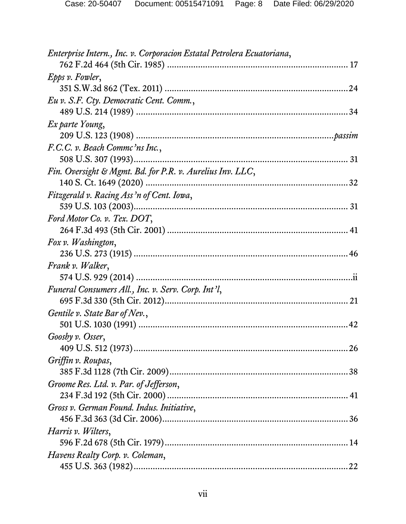| Enterprise Intern., Inc. v. Corporacion Estatal Petrolera Ecuatoriana, |  |
|------------------------------------------------------------------------|--|
|                                                                        |  |
| Epps v. Fowler,                                                        |  |
|                                                                        |  |
| Eu v. S.F. Cty. Democratic Cent. Comm.,                                |  |
|                                                                        |  |
| Ex parte Young,                                                        |  |
|                                                                        |  |
| F.C.C. v. Beach Commc'ns Inc.,                                         |  |
|                                                                        |  |
| Fin. Oversight & Mgmt. Bd. for P.R. v. Aurelius Inv. LLC,              |  |
|                                                                        |  |
| Fitzgerald v. Racing Ass'n of Cent. Iowa,                              |  |
|                                                                        |  |
| Ford Motor Co. v. Tex. DOT,                                            |  |
|                                                                        |  |
| Fox v. Washington,                                                     |  |
|                                                                        |  |
| Frank v. Walker,                                                       |  |
|                                                                        |  |
| Funeral Consumers All., Inc. v. Serv. Corp. Int'l,                     |  |
|                                                                        |  |
| Gentile v. State Bar of Nev.,                                          |  |
|                                                                        |  |
| Goosby v. Osser,                                                       |  |
|                                                                        |  |
| Griffin v. Roupas,                                                     |  |
|                                                                        |  |
| Groome Res. Ltd. v. Par. of Jefferson,                                 |  |
|                                                                        |  |
| Gross v. German Found. Indus. Initiative,                              |  |
|                                                                        |  |
| Harris v. Wilters,                                                     |  |
|                                                                        |  |
| Havens Realty Corp. v. Coleman,                                        |  |
|                                                                        |  |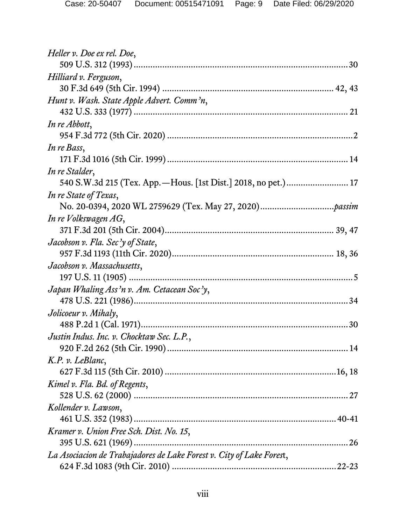| Heller v. Doe ex rel. Doe,                                           |
|----------------------------------------------------------------------|
| Hilliard v. Ferguson,                                                |
|                                                                      |
| Hunt v. Wash. State Apple Advert. Comm'n,                            |
|                                                                      |
| In re Abbott,                                                        |
|                                                                      |
| In re Bass,                                                          |
|                                                                      |
| In re Stalder,                                                       |
|                                                                      |
| In re State of Texas,                                                |
|                                                                      |
| In re Volkswagen AG,                                                 |
|                                                                      |
| Jacobson v. Fla. Sec'y of State,                                     |
|                                                                      |
| Jacobson v. Massachusetts,                                           |
|                                                                      |
| Japan Whaling Ass'n v. Am. Cetacean Soc'y,                           |
|                                                                      |
| Jolicoeur v. Mihaly,                                                 |
|                                                                      |
| Justin Indus. Inc. v. Chocktaw Sec. L.P.,                            |
|                                                                      |
| K.P. v. LeBlanc,                                                     |
|                                                                      |
| Kimel v. Fla. Bd. of Regents,                                        |
|                                                                      |
| Kollender v. Lawson,                                                 |
|                                                                      |
| Kramer v. Union Free Sch. Dist. No. 15,                              |
|                                                                      |
| La Asociacion de Trabajadores de Lake Forest v. City of Lake Forest, |
|                                                                      |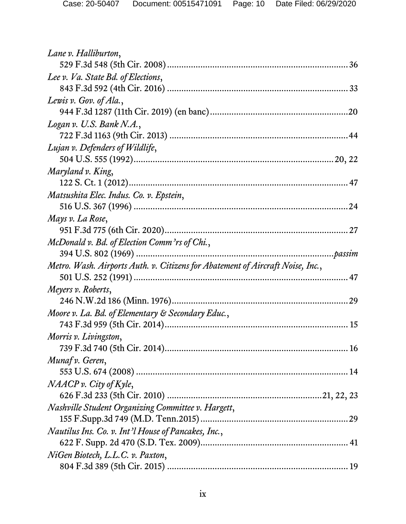| Lane v. Halliburton,                                                           |  |
|--------------------------------------------------------------------------------|--|
|                                                                                |  |
| Lee v. Va. State Bd. of Elections,                                             |  |
|                                                                                |  |
| Lewis v. Gov. of Ala.,                                                         |  |
|                                                                                |  |
| Logan v. U.S. Bank N.A.,                                                       |  |
|                                                                                |  |
| Lujan v. Defenders of Wildlife,                                                |  |
|                                                                                |  |
| Maryland v. King,                                                              |  |
|                                                                                |  |
| Matsushita Elec. Indus. Co. v. Epstein,                                        |  |
|                                                                                |  |
| Mays v. La Rose,                                                               |  |
|                                                                                |  |
| McDonald v. Bd. of Election Comm'rs of Chi.,                                   |  |
|                                                                                |  |
| Metro. Wash. Airports Auth. v. Citizens for Abatement of Aircraft Noise, Inc., |  |
|                                                                                |  |
| Meyers v. Roberts,                                                             |  |
|                                                                                |  |
| Moore v. La. Bd. of Elementary & Secondary Educ.,                              |  |
|                                                                                |  |
| Morris v. Livingston,                                                          |  |
|                                                                                |  |
| Munaf v. Geren,                                                                |  |
|                                                                                |  |
| <i>NAACP v. City of Kyle,</i>                                                  |  |
|                                                                                |  |
| Nashville Student Organizing Committee v. Hargett,                             |  |
| <i>Nautilus Ins. Co. v. Int</i> ' <i>l</i> House of Pancakes, Inc.,            |  |
|                                                                                |  |
| NiGen Biotech, L.L.C. v. Paxton,                                               |  |
|                                                                                |  |
|                                                                                |  |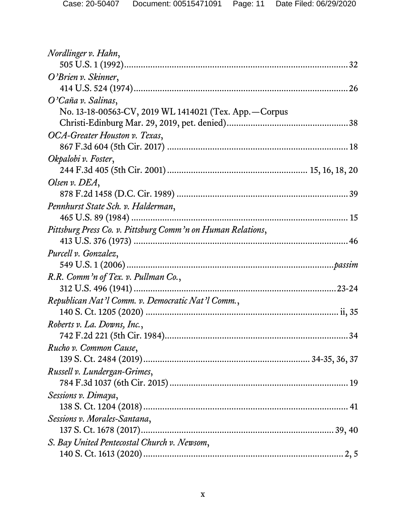| Nordlinger v. Hahn,                                         |  |
|-------------------------------------------------------------|--|
|                                                             |  |
| O'Brien v. Skinner,                                         |  |
|                                                             |  |
| O'Caña v. Salinas,                                          |  |
| No. 13-18-00563-CV, 2019 WL 1414021 (Tex. App.-Corpus       |  |
|                                                             |  |
| OCA-Greater Houston v. Texas,                               |  |
|                                                             |  |
| Okpalobi v. Foster,                                         |  |
|                                                             |  |
| Olsen v. DEA,                                               |  |
|                                                             |  |
| Pennhurst State Sch. v. Halderman,                          |  |
|                                                             |  |
| Pittsburg Press Co. v. Pittsburg Comm'n on Human Relations, |  |
|                                                             |  |
| Purcell v. Gonzalez,                                        |  |
|                                                             |  |
| R.R. Comm'n of Tex. v. Pullman Co.,                         |  |
|                                                             |  |
| Republican Nat'l Comm. v. Democratic Nat'l Comm.,           |  |
|                                                             |  |
| Roberts v. La. Downs, Inc.,                                 |  |
|                                                             |  |
| Rucho v. Common Cause,                                      |  |
|                                                             |  |
| Russell v. Lundergan-Grimes,                                |  |
|                                                             |  |
| Sessions v. Dimaya,                                         |  |
|                                                             |  |
| Sessions v. Morales-Santana,                                |  |
|                                                             |  |
|                                                             |  |
| S. Bay United Pentecostal Church v. Newsom,                 |  |
|                                                             |  |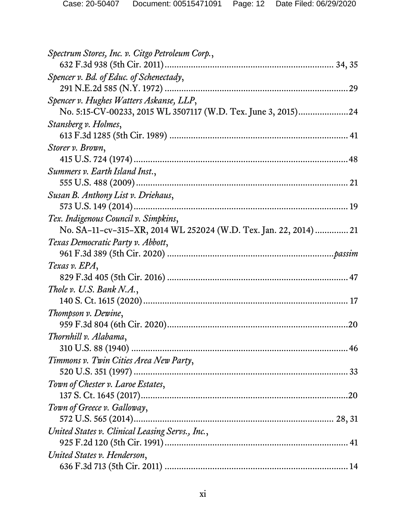| Spectrum Stores, Inc. v. Citgo Petroleum Corp.,                   |
|-------------------------------------------------------------------|
|                                                                   |
| Spencer v. Bd. of Educ. of Schenectady,                           |
|                                                                   |
| Spencer v. Hughes Watters Askanse, LLP,                           |
| No. 5:15-CV-00233, 2015 WL 3507117 (W.D. Tex. June 3, 2015)24     |
| Stansberg v. Holmes,                                              |
|                                                                   |
| Storer v. Brown,                                                  |
|                                                                   |
| Summers v. Earth Island Inst.,                                    |
|                                                                   |
| Susan B. Anthony List v. Driehaus,                                |
|                                                                   |
| Tex. Indigenous Council v. Simpkins,                              |
| No. SA-11-cv-315-XR, 2014 WL 252024 (W.D. Tex. Jan. 22, 2014)  21 |
| Texas Democratic Party v. Abbott,                                 |
|                                                                   |
| Texas v. EPA,                                                     |
|                                                                   |
| Thole v. U.S. Bank N.A.,                                          |
|                                                                   |
| Thompson v. Dewine,                                               |
|                                                                   |
| Thornhill v. Alabama,                                             |
|                                                                   |
| Timmons v. Twin Cities Area New Party,                            |
|                                                                   |
| Town of Chester v. Laroe Estates,<br>.20                          |
| Town of Greece v. Galloway,                                       |
|                                                                   |
| United States v. Clinical Leasing Servs., Inc.,                   |
|                                                                   |
| United States v. Henderson,                                       |
|                                                                   |
|                                                                   |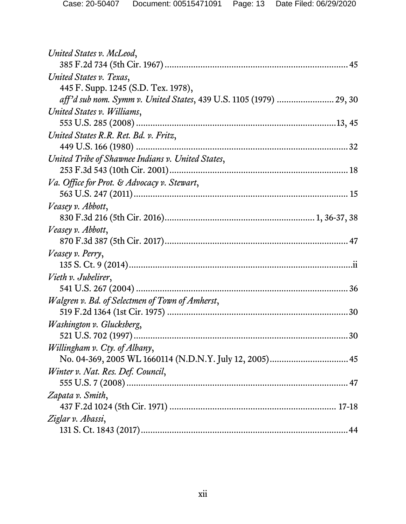| United States v. McLeod,                                           |
|--------------------------------------------------------------------|
|                                                                    |
| United States v. Texas,                                            |
| 445 F. Supp. 1245 (S.D. Tex. 1978),                                |
| aff'd sub nom. Symm v. United States, 439 U.S. 1105 (1979)  29, 30 |
| United States v. Williams,                                         |
|                                                                    |
| United States R.R. Ret. Bd. v. Fritz,                              |
|                                                                    |
| United Tribe of Shawnee Indians v. United States,                  |
|                                                                    |
| Va. Office for Prot. & Advocacy v. Stewart,                        |
|                                                                    |
| Veasey v. Abbott,                                                  |
|                                                                    |
| Veasey v. Abbott,                                                  |
|                                                                    |
| Veasey v. Perry,                                                   |
|                                                                    |
| Vieth v. Jubelirer,                                                |
|                                                                    |
| Walgren v. Bd. of Selectmen of Town of Amherst,                    |
|                                                                    |
| Washington v. Glucksberg,                                          |
|                                                                    |
| Willingham v. Cty. of Albany,                                      |
|                                                                    |
| Winter v. Nat. Res. Def. Council,                                  |
|                                                                    |
| Zapata v. Smith,                                                   |
|                                                                    |
| Ziglar v. Abassi,                                                  |
|                                                                    |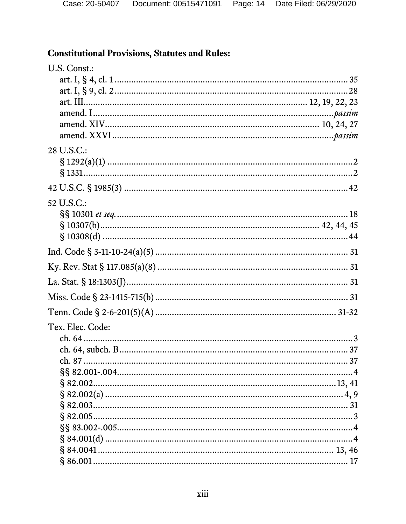## **Constitutional Provisions, Statutes and Rules:**

| U.S. Const.:     |  |
|------------------|--|
|                  |  |
|                  |  |
|                  |  |
|                  |  |
|                  |  |
|                  |  |
| 28 U.S.C.:       |  |
|                  |  |
|                  |  |
|                  |  |
| 52 U.S.C.:       |  |
|                  |  |
|                  |  |
|                  |  |
|                  |  |
|                  |  |
|                  |  |
|                  |  |
|                  |  |
| Tex. Elec. Code: |  |
|                  |  |
|                  |  |
|                  |  |
|                  |  |
|                  |  |
|                  |  |
|                  |  |
|                  |  |
|                  |  |
|                  |  |
|                  |  |
|                  |  |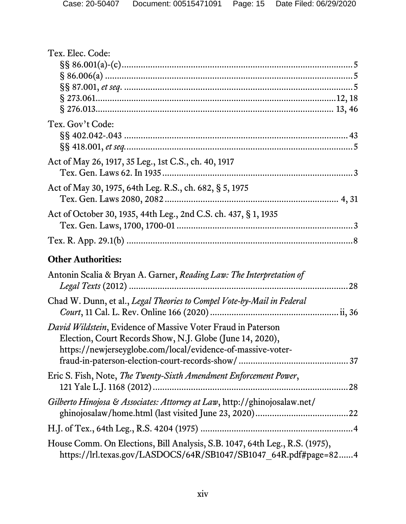| Tex. Elec. Code:                                                                                                                                                                         |
|------------------------------------------------------------------------------------------------------------------------------------------------------------------------------------------|
|                                                                                                                                                                                          |
|                                                                                                                                                                                          |
|                                                                                                                                                                                          |
|                                                                                                                                                                                          |
|                                                                                                                                                                                          |
| Tex. Gov't Code:                                                                                                                                                                         |
|                                                                                                                                                                                          |
|                                                                                                                                                                                          |
|                                                                                                                                                                                          |
| Act of May 26, 1917, 35 Leg., 1st C.S., ch. 40, 1917                                                                                                                                     |
|                                                                                                                                                                                          |
| Act of May 30, 1975, 64th Leg. R.S., ch. 682, § 5, 1975                                                                                                                                  |
|                                                                                                                                                                                          |
| Act of October 30, 1935, 44th Leg., 2nd C.S. ch. 437, § 1, 1935                                                                                                                          |
|                                                                                                                                                                                          |
|                                                                                                                                                                                          |
| <b>Other Authorities:</b>                                                                                                                                                                |
| Antonin Scalia & Bryan A. Garner, <i>Reading Law: The Interpretation of</i>                                                                                                              |
|                                                                                                                                                                                          |
| Chad W. Dunn, et al., Legal Theories to Compel Vote-by-Mail in Federal                                                                                                                   |
|                                                                                                                                                                                          |
| David Wildstein, Evidence of Massive Voter Fraud in Paterson<br>Election, Court Records Show, N.J. Globe (June 14, 2020),<br>https://newjerseyglobe.com/local/evidence-of-massive-voter- |
|                                                                                                                                                                                          |
| Eric S. Fish, Note, The Twenty-Sixth Amendment Enforcement Power,                                                                                                                        |
| Gilberto Hinojosa & Associates: Attorney at Law, http://ghinojosalaw.net/                                                                                                                |
|                                                                                                                                                                                          |
| House Comm. On Elections, Bill Analysis, S.B. 1047, 64th Leg., R.S. (1975),<br>https://lrl.texas.gov/LASDOCS/64R/SB1047/SB1047 64R.pdf#page=824                                          |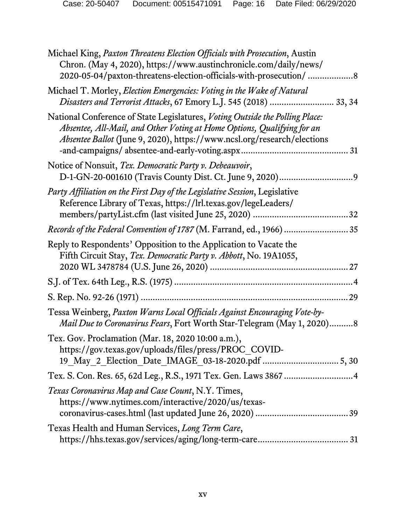| Michael King, Paxton Threatens Election Officials with Prosecution, Austin<br>Chron. (May 4, 2020), https://www.austinchronicle.com/daily/news/<br>2020-05-04/paxton-threatens-election-officials-with-prosecution/8               |
|------------------------------------------------------------------------------------------------------------------------------------------------------------------------------------------------------------------------------------|
| Michael T. Morley, Election Emergencies: Voting in the Wake of Natural<br>Disasters and Terrorist Attacks, 67 Emory L.J. 545 (2018)  33, 34                                                                                        |
| National Conference of State Legislatures, Voting Outside the Polling Place:<br>Absentee, All-Mail, and Other Voting at Home Options, Qualifying for an<br>Absentee Ballot (June 9, 2020), https://www.ncsl.org/research/elections |
| Notice of Nonsuit, Tex. Democratic Party v. Debeauvoir,                                                                                                                                                                            |
| Party Affiliation on the First Day of the Legislative Session, Legislative<br>Reference Library of Texas, https://lrl.texas.gov/legeLeaders/                                                                                       |
| Records of the Federal Convention of 1787 (M. Farrand, ed., 1966) 35                                                                                                                                                               |
| Reply to Respondents' Opposition to the Application to Vacate the<br>Fifth Circuit Stay, Tex. Democratic Party v. Abbott, No. 19A1055,                                                                                             |
|                                                                                                                                                                                                                                    |
|                                                                                                                                                                                                                                    |
| Tessa Weinberg, Paxton Warns Local Officials Against Encouraging Vote-by-<br>Mail Due to Coronavirus Fears, Fort Worth Star-Telegram (May 1, 2020)8                                                                                |
| Tex. Gov. Proclamation (Mar. 18, 2020 10:00 a.m.),<br>https://gov.texas.gov/uploads/files/press/PROC COVID-                                                                                                                        |
|                                                                                                                                                                                                                                    |
| Texas Coronavirus Map and Case Count, N.Y. Times,<br>https://www.nytimes.com/interactive/2020/us/texas-                                                                                                                            |
| Texas Health and Human Services, Long Term Care,                                                                                                                                                                                   |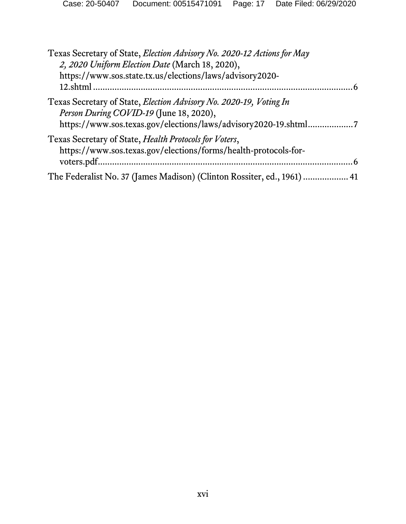| Texas Secretary of State, Election Advisory No. 2020-12 Actions for May<br>2, 2020 Uniform Election Date (March 18, 2020),                                                       |
|----------------------------------------------------------------------------------------------------------------------------------------------------------------------------------|
| https://www.sos.state.tx.us/elections/laws/advisory2020-                                                                                                                         |
| Texas Secretary of State, Election Advisory No. 2020-19, Voting In<br>Person During COVID-19 (June 18, 2020),<br>https://www.sos.texas.gov/elections/laws/advisory2020-19.shtml7 |
| Texas Secretary of State, Health Protocols for Voters,<br>https://www.sos.texas.gov/elections/forms/health-protocols-for-                                                        |
| The Federalist No. 37 (James Madison) (Clinton Rossiter, ed., 1961)  41                                                                                                          |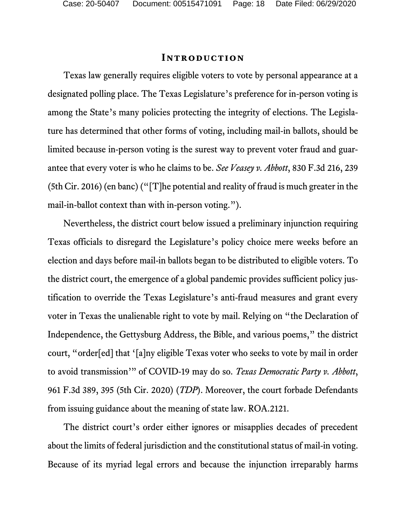#### **Introduction**

Texas law generally requires eligible voters to vote by personal appearance at a designated polling place. The Texas Legislature's preference for in-person voting is among the State's many policies protecting the integrity of elections. The Legislature has determined that other forms of voting, including mail-in ballots, should be limited because in-person voting is the surest way to prevent voter fraud and guarantee that every voter is who he claims to be. *See Veasey v. Abbott*, 830 F.3d 216, 239 (5th Cir. 2016) (en banc) ("[T]he potential and reality of fraud is much greater in the mail-in-ballot context than with in-person voting.").

Nevertheless, the district court below issued a preliminary injunction requiring Texas officials to disregard the Legislature's policy choice mere weeks before an election and days before mail-in ballots began to be distributed to eligible voters. To the district court, the emergence of a global pandemic provides sufficient policy justification to override the Texas Legislature's anti-fraud measures and grant every voter in Texas the unalienable right to vote by mail. Relying on "the Declaration of Independence, the Gettysburg Address, the Bible, and various poems," the district court, "order[ed] that '[a]ny eligible Texas voter who seeks to vote by mail in order to avoid transmission'" of COVID-19 may do so. *Texas Democratic Party v. Abbott*, 961 F.3d 389, 395 (5th Cir. 2020) (*TDP*). Moreover, the court forbade Defendants from issuing guidance about the meaning of state law. ROA.2121.

The district court's order either ignores or misapplies decades of precedent about the limits of federal jurisdiction and the constitutional status of mail-in voting. Because of its myriad legal errors and because the injunction irreparably harms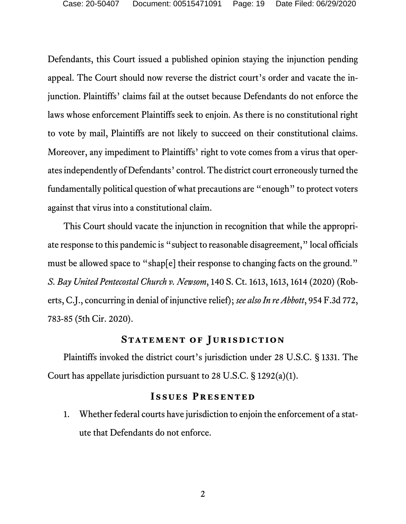Defendants, this Court issued a published opinion staying the injunction pending appeal. The Court should now reverse the district court's order and vacate the injunction. Plaintiffs' claims fail at the outset because Defendants do not enforce the laws whose enforcement Plaintiffs seek to enjoin. As there is no constitutional right to vote by mail, Plaintiffs are not likely to succeed on their constitutional claims. Moreover, any impediment to Plaintiffs' right to vote comes from a virus that operates independently of Defendants' control. The district court erroneously turned the fundamentally political question of what precautions are "enough" to protect voters against that virus into a constitutional claim.

<span id="page-18-0"></span>This Court should vacate the injunction in recognition that while the appropriate response to this pandemic is "subject to reasonable disagreement," local officials must be allowed space to "shap[e] their response to changing facts on the ground." *S. Bay United Pentecostal Church v. Newsom*, 140 S. Ct. 1613, 1613, 1614 (2020) (Roberts, C.J., concurring in denial of injunctive relief); *see also In re Abbott*, 954 F.3d 772, 783-85 (5th Cir. 2020).

#### **STATEMENT OF JURISDICTION**

Plaintiffs invoked the district court's jurisdiction under 28 U.S.C. § 1331. The Court has appellate jurisdiction pursuant to 28 U.S.C. § 1292(a)(1).

#### **Issues Presented**

1. Whether federal courts have jurisdiction to enjoin the enforcement of a statute that Defendants do not enforce.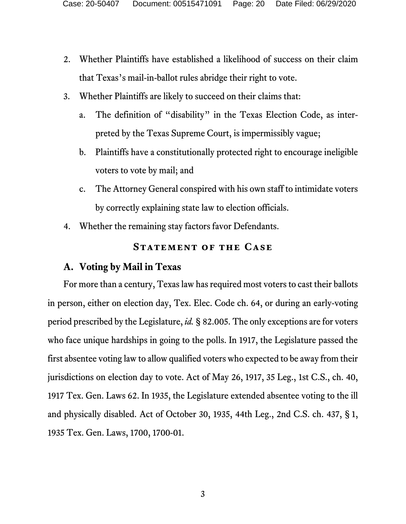- 2. Whether Plaintiffs have established a likelihood of success on their claim that Texas's mail-in-ballot rules abridge their right to vote.
- 3. Whether Plaintiffs are likely to succeed on their claims that:
	- a. The definition of "disability" in the Texas Election Code, as interpreted by the Texas Supreme Court, is impermissibly vague;
	- b. Plaintiffs have a constitutionally protected right to encourage ineligible voters to vote by mail; and
	- c. The Attorney General conspired with his own staff to intimidate voters by correctly explaining state law to election officials.
- 4. Whether the remaining stay factors favor Defendants.

## <span id="page-19-2"></span><span id="page-19-1"></span><span id="page-19-0"></span>**STATEMENT OF THE CASE**

## **A. Voting by Mail in Texas**

<span id="page-19-3"></span>For more than a century, Texas law has required most voters to cast their ballots in person, either on election day, Tex. Elec. Code ch. 64, or during an early-voting period prescribed by the Legislature, *id.* § 82.005. The only exceptions are for voters who face unique hardships in going to the polls. In 1917, the Legislature passed the first absentee voting law to allow qualified voters who expected to be away from their jurisdictions on election day to vote. Act of May 26, 1917, 35 Leg., 1st C.S., ch. 40, 1917 Tex. Gen. Laws 62. In 1935, the Legislature extended absentee voting to the ill and physically disabled. Act of October 30, 1935, 44th Leg., 2nd C.S. ch. 437, § 1, 1935 Tex. Gen. Laws, 1700, 1700-01.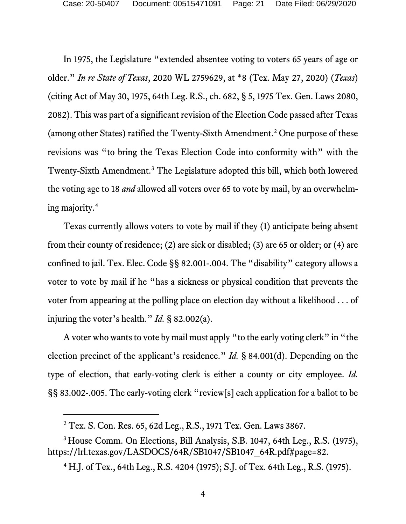<span id="page-20-3"></span>In 1975, the Legislature "extended absentee voting to voters 65 years of age or older." *In re State of Texas*, 2020 WL 2759629, at \*8 (Tex. May 27, 2020) (*Texas*) (citing Act of May 30, 1975, 64th Leg. R.S., ch. 682, § 5, 1975 Tex. Gen. Laws 2080, 2082). This was part of a significant revision of the Election Code passed after Texas (among other States) ratified the Twenty-Sixth Amendment.[2](#page-20-5) One purpose of these revisions was "to bring the Texas Election Code into conformity with" with the Twenty-Sixth Amendment.[3](#page-20-6) The Legislature adopted this bill, which both lowered the voting age to 18 *and* allowed all voters over 65 to vote by mail, by an overwhelming majority. [4](#page-20-7)

<span id="page-20-0"></span>Texas currently allows voters to vote by mail if they (1) anticipate being absent from their county of residence; (2) are sick or disabled; (3) are 65 or older; or (4) are confined to jail. Tex. Elec. Code §§ 82.001-.004. The "disability" category allows a voter to vote by mail if he "has a sickness or physical condition that prevents the voter from appearing at the polling place on election day without a likelihood . . . of injuring the voter's health." *Id.* § 82.002(a).

<span id="page-20-2"></span><span id="page-20-1"></span>A voter who wants to vote by mail must apply "to the early voting clerk" in "the election precinct of the applicant's residence." *Id.* § 84.001(d). Depending on the type of election, that early-voting clerk is either a county or city employee. *Id.*  §§ 83.002-.005. The early-voting clerk "review[s] each application for a ballot to be

 <sup>2</sup> Tex. S. Con. Res. 65, 62d Leg., R.S., 1971 Tex. Gen. Laws 3867.

<span id="page-20-7"></span><span id="page-20-6"></span><span id="page-20-5"></span><sup>3</sup> House Comm. On Elections, Bill Analysis, S.B. 1047, 64th Leg., R.S. (1975), https://lrl.texas.gov/LASDOCS/64R/SB1047/SB1047\_64R.pdf#page=82.

<span id="page-20-4"></span><sup>4</sup> H.J. of Tex., 64th Leg., R.S. 4204 (1975); S.J. of Tex. 64th Leg., R.S. (1975).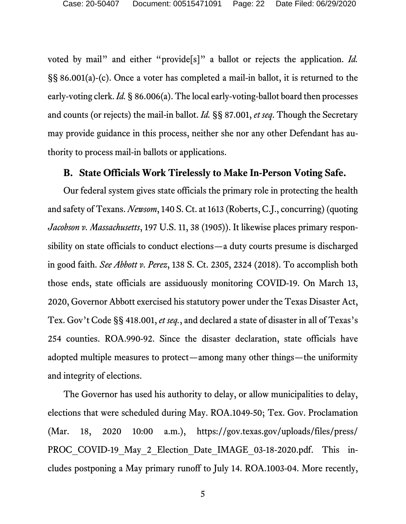<span id="page-21-4"></span><span id="page-21-3"></span>voted by mail" and either "provide[s]" a ballot or rejects the application. *Id.*  §§ 86.001(a)-(c). Once a voter has completed a mail-in ballot, it is returned to the early-voting clerk. *Id.* § 86.006(a). The local early-voting-ballot board then processes and counts (or rejects) the mail-in ballot. *Id.* §§ 87.001, *et seq*. Though the Secretary may provide guidance in this process, neither she nor any other Defendant has authority to process mail-in ballots or applications.

### <span id="page-21-5"></span><span id="page-21-2"></span>**B. State Officials Work Tirelessly to Make In-Person Voting Safe.**

<span id="page-21-1"></span><span id="page-21-0"></span>Our federal system gives state officials the primary role in protecting the health and safety of Texans. *Newsom*, 140 S. Ct. at 1613 (Roberts, C.J., concurring) (quoting *Jacobson v. Massachusetts*, 197 U.S. 11, 38 (1905)). It likewise places primary responsibility on state officials to conduct elections—a duty courts presume is discharged in good faith. *See Abbott v. Perez*, 138 S. Ct. 2305, 2324 (2018). To accomplish both those ends, state officials are assiduously monitoring COVID-19. On March 13, 2020, Governor Abbott exercised his statutory power under the Texas Disaster Act, Tex. Gov't Code §§ 418.001, *et seq.*, and declared a state of disaster in all of Texas's 254 counties. ROA.990-92. Since the disaster declaration, state officials have adopted multiple measures to protect—among many other things—the uniformity and integrity of elections.

The Governor has used his authority to delay, or allow municipalities to delay, elections that were scheduled during May. ROA.1049-50; Tex. Gov. Proclamation (Mar. 18, 2020 10:00 a.m.), https://gov.texas.gov/uploads/files/press/ PROC COVID-19 May 2 Election Date IMAGE 03-18-2020.pdf. This includes postponing a May primary runoff to July 14. ROA.1003-04. More recently,

<span id="page-21-7"></span><span id="page-21-6"></span>5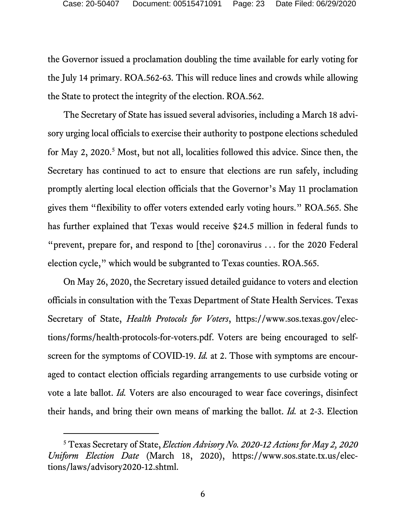the Governor issued a proclamation doubling the time available for early voting for the July 14 primary. ROA.562-63. This will reduce lines and crowds while allowing the State to protect the integrity of the election. ROA.562.

The Secretary of State has issued several advisories, including a March 18 advisory urging local officials to exercise their authority to postpone elections scheduled for May 2, 2020. [5](#page-22-2) Most, but not all, localities followed this advice. Since then, the Secretary has continued to act to ensure that elections are run safely, including promptly alerting local election officials that the Governor's May 11 proclamation gives them "flexibility to offer voters extended early voting hours." ROA.565. She has further explained that Texas would receive \$24.5 million in federal funds to "prevent, prepare for, and respond to [the] coronavirus . . . for the 2020 Federal election cycle," which would be subgranted to Texas counties. ROA.565.

<span id="page-22-1"></span>On May 26, 2020, the Secretary issued detailed guidance to voters and election officials in consultation with the Texas Department of State Health Services. Texas Secretary of State, *Health Protocols for Voters*, https://www.sos.texas.gov/elections/forms/health-protocols-for-voters.pdf. Voters are being encouraged to selfscreen for the symptoms of COVID-19. *Id.* at 2. Those with symptoms are encouraged to contact election officials regarding arrangements to use curbside voting or vote a late ballot. *Id.* Voters are also encouraged to wear face coverings, disinfect their hands, and bring their own means of marking the ballot. *Id.* at 2-3. Election

<span id="page-22-2"></span><span id="page-22-0"></span> <sup>5</sup> Texas Secretary of State, *Election Advisory No. 2020-12 Actions for May 2, 2020 Uniform Election Date* (March 18, 2020), https://www.sos.state.tx.us/elections/laws/advisory2020-12.shtml.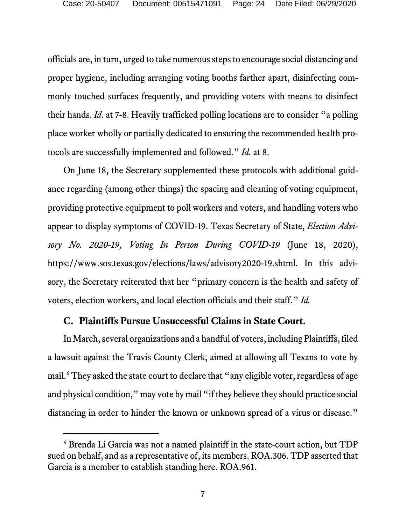officials are, in turn, urged to take numerous steps to encourage social distancing and proper hygiene, including arranging voting booths farther apart, disinfecting commonly touched surfaces frequently, and providing voters with means to disinfect their hands. *Id*. at 7-8. Heavily trafficked polling locations are to consider "a polling place worker wholly or partially dedicated to ensuring the recommended health protocols are successfully implemented and followed." *Id.* at 8.

<span id="page-23-0"></span>On June 18, the Secretary supplemented these protocols with additional guidance regarding (among other things) the spacing and cleaning of voting equipment, providing protective equipment to poll workers and voters, and handling voters who appear to display symptoms of COVID-19. Texas Secretary of State, *Election Advisory No. 2020-19, Voting In Person During COVID-19* (June 18, 2020), https://www.sos.texas.gov/elections/laws/advisory2020-19.shtml. In this advisory, the Secretary reiterated that her "primary concern is the health and safety of voters, election workers, and local election officials and their staff." *Id.*

## **C. Plaintiffs Pursue Unsuccessful Claims in State Court.**

In March, several organizations and a handful of voters, including Plaintiffs, filed a lawsuit against the Travis County Clerk, aimed at allowing all Texans to vote by mail.<sup>[6](#page-23-1)</sup> They asked the state court to declare that "any eligible voter, regardless of age and physical condition," may vote by mail "if they believe they should practice social distancing in order to hinder the known or unknown spread of a virus or disease."

<span id="page-23-1"></span> <sup>6</sup> Brenda Li Garcia was not a named plaintiff in the state-court action, but TDP sued on behalf, and as a representative of, its members. ROA.306. TDP asserted that Garcia is a member to establish standing here. ROA.961.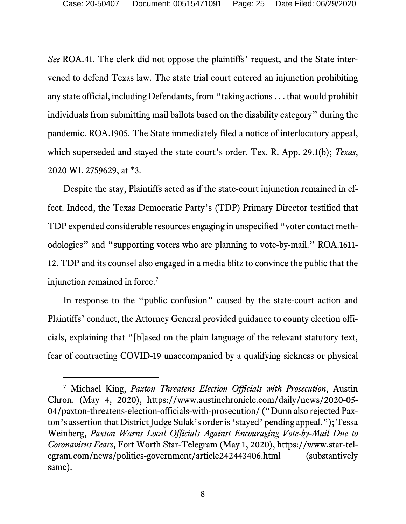*See* ROA.41. The clerk did not oppose the plaintiffs' request, and the State intervened to defend Texas law. The state trial court entered an injunction prohibiting any state official, including Defendants, from "taking actions . . . that would prohibit individuals from submitting mail ballots based on the disability category" during the pandemic. ROA.1905. The State immediately filed a notice of interlocutory appeal, which superseded and stayed the state court's order. Tex. R. App. 29.1(b); *Texas*, 2020 WL 2759629, at \*3.

<span id="page-24-0"></span>Despite the stay, Plaintiffs acted as if the state-court injunction remained in effect. Indeed, the Texas Democratic Party's (TDP) Primary Director testified that TDP expended considerable resources engaging in unspecified "voter contact methodologies" and "supporting voters who are planning to vote-by-mail." ROA.1611- 12. TDP and its counsel also engaged in a media blitz to convince the public that the injunction remained in force.<sup>[7](#page-24-3)</sup>

In response to the "public confusion" caused by the state-court action and Plaintiffs' conduct, the Attorney General provided guidance to county election officials, explaining that "[b]ased on the plain language of the relevant statutory text, fear of contracting COVID-19 unaccompanied by a qualifying sickness or physical

<span id="page-24-3"></span><span id="page-24-2"></span><span id="page-24-1"></span> <sup>7</sup> Michael King, *Paxton Threatens Election Officials with Prosecution*, Austin Chron. (May 4, 2020), [https://www.austinchronicle.com/daily/news/2020-05-](https://www.austinchronicle.com/daily/news/2020-05-04/paxton-threatens-election-officials-with-prosecution/) [04/paxton-threatens-election-officials-with-prosecution/](https://www.austinchronicle.com/daily/news/2020-05-04/paxton-threatens-election-officials-with-prosecution/) ("Dunn also rejected Paxton's assertion that District Judge Sulak's order is 'stayed' pending appeal."); Tessa Weinberg, *Paxton Warns Local Officials Against Encouraging Vote-by-Mail Due to Coronavirus Fears*, Fort Worth Star-Telegram (May 1, 2020), [https://www.star-tel](https://www.star-telegram.com/news/politics-government/article242443406.html)[egram.com/news/politics-government/article242443406.html](https://www.star-telegram.com/news/politics-government/article242443406.html) (substantively same).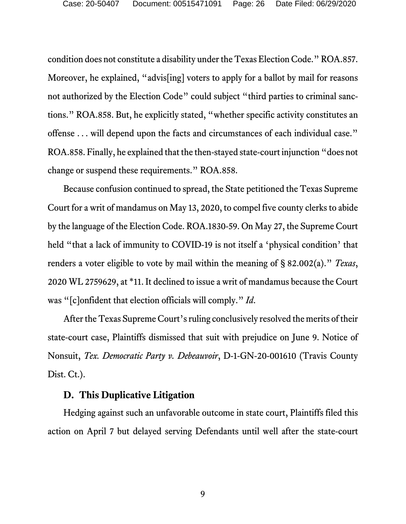condition does not constitute a disability under the Texas Election Code." ROA.857. Moreover, he explained, "advis[ing] voters to apply for a ballot by mail for reasons not authorized by the Election Code" could subject "third parties to criminal sanctions." ROA.858. But, he explicitly stated, "whether specific activity constitutes an offense . . . will depend upon the facts and circumstances of each individual case." ROA.858. Finally, he explained that the then-stayed state-court injunction "does not change or suspend these requirements." ROA.858.

Because confusion continued to spread, the State petitioned the Texas Supreme Court for a writ of mandamus on May 13, 2020, to compel five county clerks to abide by the language of the Election Code. ROA.1830-59. On May 27, the Supreme Court held "that a lack of immunity to COVID-19 is not itself a 'physical condition' that renders a voter eligible to vote by mail within the meaning of § 82.002(a)." *Texas*, 2020 WL 2759629, at \*11. It declined to issue a writ of mandamus because the Court was "[c]onfident that election officials will comply." *Id*.

<span id="page-25-0"></span>After the Texas Supreme Court's ruling conclusively resolved the merits of their state-court case, Plaintiffs dismissed that suit with prejudice on June 9. Notice of Nonsuit, *Tex. Democratic Party v. Debeauvoir*, D-1-GN-20-001610 (Travis County Dist. Ct.).

## <span id="page-25-1"></span>**D. This Duplicative Litigation**

Hedging against such an unfavorable outcome in state court, Plaintiffs filed this action on April 7 but delayed serving Defendants until well after the state-court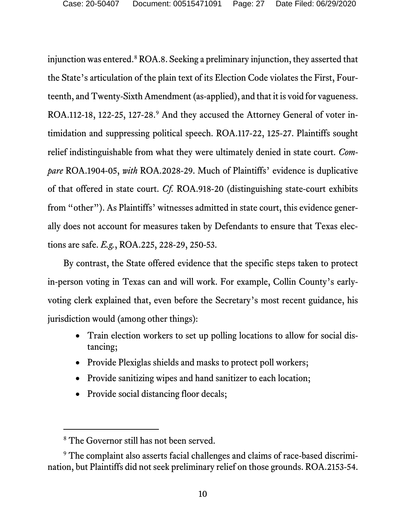injunction was entered.<sup>[8](#page-26-0)</sup> ROA.8. Seeking a preliminary injunction, they asserted that the State's articulation of the plain text of its Election Code violates the First, Fourteenth, and Twenty-Sixth Amendment (as-applied), and that it is void for vagueness. ROA.112-18, 122-25, 127-28.<sup>[9](#page-26-1)</sup> And they accused the Attorney General of voter intimidation and suppressing political speech. ROA.117-22, 125-27. Plaintiffs sought relief indistinguishable from what they were ultimately denied in state court. *Compare* ROA.1904-05, *with* ROA.2028-29. Much of Plaintiffs' evidence is duplicative of that offered in state court. *Cf.* ROA.918-20 (distinguishing state-court exhibits from "other"). As Plaintiffs' witnesses admitted in state court, this evidence generally does not account for measures taken by Defendants to ensure that Texas elections are safe. *E.g.*, ROA.225, 228-29, 250-53.

By contrast, the State offered evidence that the specific steps taken to protect in-person voting in Texas can and will work. For example, Collin County's earlyvoting clerk explained that, even before the Secretary's most recent guidance, his jurisdiction would (among other things):

- Train election workers to set up polling locations to allow for social distancing;
- Provide Plexiglas shields and masks to protect poll workers;
- Provide sanitizing wipes and hand sanitizer to each location;
- Provide social distancing floor decals;

<sup>&</sup>lt;sup>8</sup> The Governor still has not been served.

<span id="page-26-1"></span><span id="page-26-0"></span><sup>&</sup>lt;sup>9</sup> The complaint also asserts facial challenges and claims of race-based discrimination, but Plaintiffs did not seek preliminary relief on those grounds. ROA.2153-54.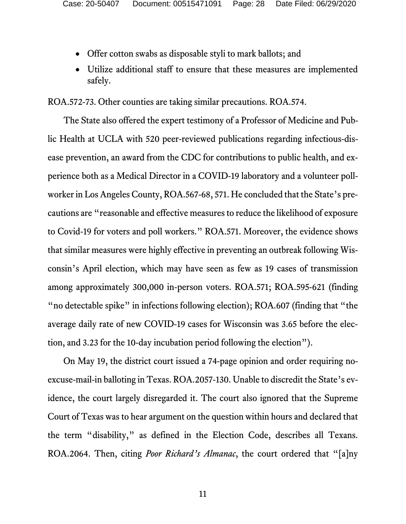- Offer cotton swabs as disposable styli to mark ballots; and
- Utilize additional staff to ensure that these measures are implemented safely.

ROA.572-73. Other counties are taking similar precautions. ROA.574.

The State also offered the expert testimony of a Professor of Medicine and Public Health at UCLA with 520 peer-reviewed publications regarding infectious-disease prevention, an award from the CDC for contributions to public health, and experience both as a Medical Director in a COVID-19 laboratory and a volunteer pollworkerin Los Angeles County, ROA.567-68, 571. He concluded that the State's precautions are "reasonable and effective measures to reduce the likelihood of exposure to Covid-19 for voters and poll workers." ROA.571. Moreover, the evidence shows that similar measures were highly effective in preventing an outbreak following Wisconsin's April election, which may have seen as few as 19 cases of transmission among approximately 300,000 in-person voters. ROA.571; ROA.595-621 (finding "no detectable spike" in infections following election); ROA.607 (finding that "the average daily rate of new COVID-19 cases for Wisconsin was 3.65 before the election, and 3.23 for the 10-day incubation period following the election").

On May 19, the district court issued a 74-page opinion and order requiring noexcuse-mail-in balloting in Texas. ROA.2057-130. Unable to discredit the State's evidence, the court largely disregarded it. The court also ignored that the Supreme Court of Texas was to hear argument on the question within hours and declared that the term "disability," as defined in the Election Code, describes all Texans. ROA.2064. Then, citing *Poor Richard's Almanac*, the court ordered that "[a]ny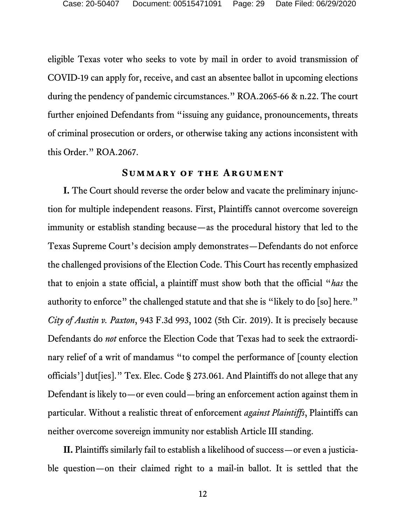eligible Texas voter who seeks to vote by mail in order to avoid transmission of COVID-19 can apply for, receive, and cast an absentee ballot in upcoming elections during the pendency of pandemic circumstances." ROA.2065-66 & n.22. The court further enjoined Defendants from "issuing any guidance, pronouncements, threats of criminal prosecution or orders, or otherwise taking any actions inconsistent with this Order." ROA.2067.

#### **Summary of the Argument**

**I.** The Court should reverse the order below and vacate the preliminary injunction for multiple independent reasons. First, Plaintiffs cannot overcome sovereign immunity or establish standing because—as the procedural history that led to the Texas Supreme Court's decision amply demonstrates—Defendants do not enforce the challenged provisions of the Election Code. This Court has recently emphasized that to enjoin a state official, a plaintiff must show both that the official "*has* the authority to enforce" the challenged statute and that she is "likely to do [so] here." *City of Austin v. Paxton*, 943 F.3d 993, 1002 (5th Cir. 2019). It is precisely because Defendants do *not* enforce the Election Code that Texas had to seek the extraordinary relief of a writ of mandamus "to compel the performance of [county election officials'] dut[ies]." Tex. Elec. Code § 273.061. And Plaintiffs do not allege that any Defendant is likely to—or even could—bring an enforcement action against them in particular. Without a realistic threat of enforcement *against Plaintiffs*, Plaintiffs can neither overcome sovereign immunity nor establish Article III standing.

**II.** Plaintiffs similarly fail to establish a likelihood of success—or even a justiciable question—on their claimed right to a mail-in ballot. It is settled that the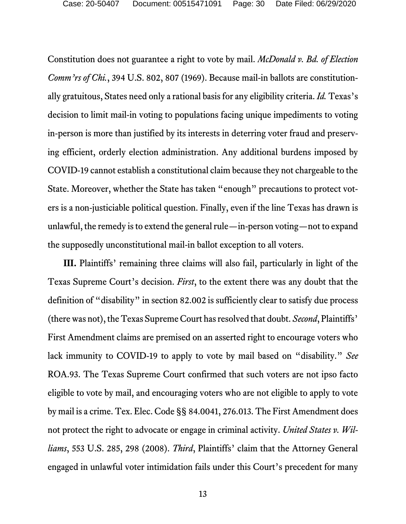Constitution does not guarantee a right to vote by mail. *McDonald v. Bd. of Election Comm'rs of Chi.*, 394 U.S. 802, 807 (1969). Because mail-in ballots are constitutionally gratuitous, States need only a rational basis for any eligibility criteria. *Id.* Texas's decision to limit mail-in voting to populations facing unique impediments to voting in-person is more than justified by its interests in deterring voter fraud and preserving efficient, orderly election administration. Any additional burdens imposed by COVID-19 cannot establish a constitutional claim because they not chargeable to the State. Moreover, whether the State has taken "enough" precautions to protect voters is a non-justiciable political question. Finally, even if the line Texas has drawn is unlawful, the remedy is to extend the general rule—in-person voting—not to expand the supposedly unconstitutional mail-in ballot exception to all voters.

**III.** Plaintiffs' remaining three claims will also fail, particularly in light of the Texas Supreme Court's decision. *First*, to the extent there was any doubt that the definition of "disability" in section 82.002 is sufficiently clear to satisfy due process (there was not), the Texas Supreme Court has resolved that doubt. *Second*, Plaintiffs' First Amendment claims are premised on an asserted right to encourage voters who lack immunity to COVID-19 to apply to vote by mail based on "disability." *See*  ROA.93. The Texas Supreme Court confirmed that such voters are not ipso facto eligible to vote by mail, and encouraging voters who are not eligible to apply to vote by mail is a crime. Tex. Elec. Code §§ 84.0041, 276.013. The First Amendment does not protect the right to advocate or engage in criminal activity. *United States v. Williams*, 553 U.S. 285, 298 (2008). *Third*, Plaintiffs' claim that the Attorney General engaged in unlawful voter intimidation fails under this Court's precedent for many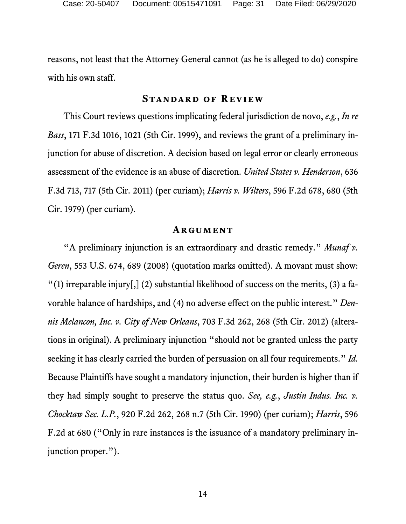reasons, not least that the Attorney General cannot (as he is alleged to do) conspire with his own staff.

#### <span id="page-30-1"></span>**Standard of Review**

This Court reviews questions implicating federal jurisdiction de novo, *e.g.*, *In re Bass*, 171 F.3d 1016, 1021 (5th Cir. 1999), and reviews the grant of a preliminary injunction for abuse of discretion. A decision based on legal error or clearly erroneous assessment of the evidence is an abuse of discretion. *United States v. Henderson*, 636 F.3d 713, 717 (5th Cir. 2011) (per curiam); *Harris v. Wilters*, 596 F.2d 678, 680 (5th Cir. 1979) (per curiam).

#### <span id="page-30-3"></span><span id="page-30-2"></span><span id="page-30-0"></span>**ARGUMENT**

"A preliminary injunction is an extraordinary and drastic remedy." *Munaf v. Geren*, 553 U.S. 674, 689 (2008) (quotation marks omitted). A movant must show: "(1) irreparable injury[,] (2) substantial likelihood of success on the merits, (3) a favorable balance of hardships, and (4) no adverse effect on the public interest." *Dennis Melancon, Inc. v. City of New Orleans*, 703 F.3d 262, 268 (5th Cir. 2012) (alterations in original). A preliminary injunction "should not be granted unless the party seeking it has clearly carried the burden of persuasion on all four requirements." *Id.*  Because Plaintiffs have sought a mandatory injunction, their burden is higher than if they had simply sought to preserve the status quo. *See, e.g.*, *Justin Indus. Inc. v. Chocktaw Sec. L.P.*, 920 F.2d 262, 268 n.7 (5th Cir. 1990) (per curiam); *Harris*, 596 F.2d at 680 ("Only in rare instances is the issuance of a mandatory preliminary injunction proper.").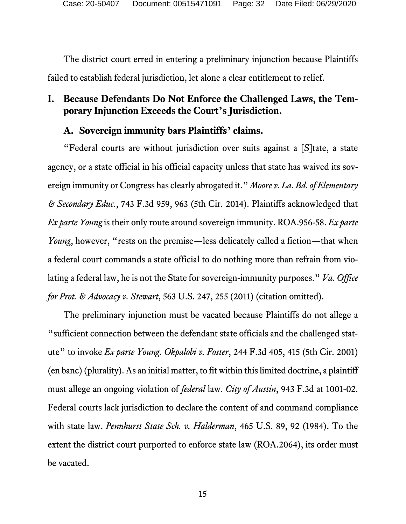The district court erred in entering a preliminary injunction because Plaintiffs failed to establish federal jurisdiction, let alone a clear entitlement to relief.

## **I. Because Defendants Do Not Enforce the Challenged Laws, the Temporary Injunction Exceeds the Court's Jurisdiction.**

### <span id="page-31-0"></span>**A. Sovereign immunity bars Plaintiffs' claims.**

"Federal courts are without jurisdiction over suits against a [S]tate, a state agency, or a state official in his official capacity unless that state has waived its sovereign immunity or Congress has clearly abrogated it." *Moore v. La. Bd. of Elementary & Secondary Educ.*, 743 F.3d 959, 963 (5th Cir. 2014). Plaintiffs acknowledged that *Ex parte Young* is their only route around sovereign immunity. ROA.956-58. *Ex parte Young*, however, "rests on the premise—less delicately called a fiction—that when a federal court commands a state official to do nothing more than refrain from violating a federal law, he is not the State for sovereign-immunity purposes." *Va. Office for Prot. & Advocacy v. Stewart*, 563 U.S. 247, 255 (2011) (citation omitted).

<span id="page-31-1"></span>The preliminary injunction must be vacated because Plaintiffs do not allege a "sufficient connection between the defendant state officials and the challenged statute" to invoke *Ex parte Young*. *Okpalobi v. Foster*, 244 F.3d 405, 415 (5th Cir. 2001) (en banc) (plurality). As an initial matter, to fit within this limited doctrine, a plaintiff must allege an ongoing violation of *federal* law. *City of Austin*, 943 F.3d at 1001-02. Federal courts lack jurisdiction to declare the content of and command compliance with state law. *Pennhurst State Sch. v. Halderman*, 465 U.S. 89, 92 (1984). To the extent the district court purported to enforce state law (ROA.2064), its order must be vacated.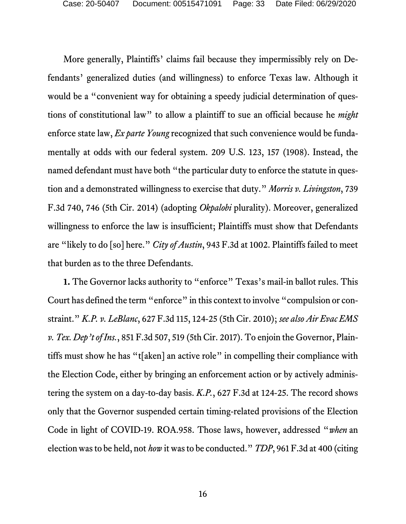More generally, Plaintiffs' claims fail because they impermissibly rely on Defendants' generalized duties (and willingness) to enforce Texas law. Although it would be a "convenient way for obtaining a speedy judicial determination of questions of constitutional law" to allow a plaintiff to sue an official because he *might*  enforce state law, *Ex parte Young* recognized that such convenience would be fundamentally at odds with our federal system. 209 U.S. 123, 157 (1908). Instead, the named defendant must have both "the particular duty to enforce the statute in question and a demonstrated willingness to exercise that duty." *Morris v. Livingston*, 739 F.3d 740, 746 (5th Cir. 2014) (adopting *Okpalobi* plurality). Moreover, generalized willingness to enforce the law is insufficient; Plaintiffs must show that Defendants are "likely to do [so] here." *City of Austin*, 943 F.3d at 1002. Plaintiffs failed to meet that burden as to the three Defendants.

<span id="page-32-1"></span><span id="page-32-0"></span>**1.** The Governor lacks authority to "enforce" Texas's mail-in ballot rules. This Court has defined the term "enforce" in this context to involve "compulsion or constraint." *K.P. v. LeBlanc*, 627 F.3d 115, 124-25 (5th Cir. 2010); *see also Air Evac EMS v. Tex. Dep't of Ins.*, 851 F.3d 507, 519 (5th Cir. 2017). To enjoin the Governor, Plaintiffs must show he has "t[aken] an active role" in compelling their compliance with the Election Code, either by bringing an enforcement action or by actively administering the system on a day-to-day basis. *K.P.*, 627 F.3d at 124-25. The record shows only that the Governor suspended certain timing-related provisions of the Election Code in light of COVID-19. ROA.958. Those laws, however, addressed "*when* an election was to be held, not *how* it was to be conducted." *TDP*, 961 F.3d at 400 (citing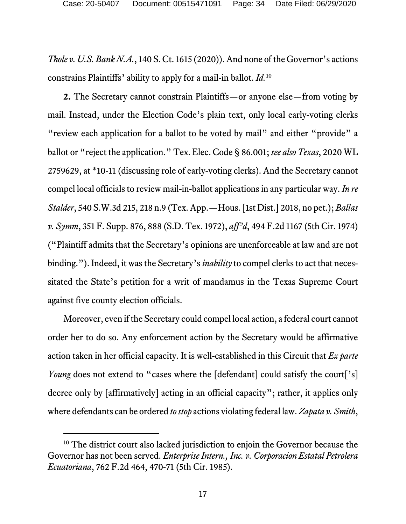*Thole v. U.S. Bank N.A.*, 140 S. Ct. 1615 (2020)). And none of the Governor's actions constrains Plaintiffs' ability to apply for a mail-in ballot. *Id.*[10](#page-33-3)

<span id="page-33-2"></span>**2.** The Secretary cannot constrain Plaintiffs—or anyone else—from voting by mail. Instead, under the Election Code's plain text, only local early-voting clerks "review each application for a ballot to be voted by mail" and either "provide" a ballot or "reject the application." Tex. Elec. Code § 86.001; *see also Texas*, 2020 WL 2759629, at \*10-11 (discussing role of early-voting clerks). And the Secretary cannot compel local officials to review mail-in-ballot applications in any particular way. *In re Stalder*, 540 S.W.3d 215, 218 n.9 (Tex. App.—Hous. [1st Dist.] 2018, no pet.); *Ballas v. Symm*, 351 F. Supp. 876, 888 (S.D. Tex. 1972), *aff'd*, 494 F.2d 1167 (5th Cir. 1974) ("Plaintiff admits that the Secretary's opinions are unenforceable at law and are not binding."). Indeed, it was the Secretary's *inability* to compel clerks to act that necessitated the State's petition for a writ of mandamus in the Texas Supreme Court against five county election officials.

Moreover, even if the Secretary could compel local action, a federal court cannot order her to do so. Any enforcement action by the Secretary would be affirmative action taken in her official capacity. It is well-established in this Circuit that *Ex parte Young* does not extend to "cases where the [defendant] could satisfy the court['s] decree only by [affirmatively] acting in an official capacity"; rather, it applies only where defendants can be ordered *to stop* actions violating federal law. *Zapata v. Smith*,

<span id="page-33-3"></span><span id="page-33-1"></span><span id="page-33-0"></span><sup>&</sup>lt;sup>10</sup> The district court also lacked jurisdiction to enjoin the Governor because the Governor has not been served. *Enterprise Intern., Inc. v. Corporacion Estatal Petrolera Ecuatoriana*, 762 F.2d 464, 470-71 (5th Cir. 1985).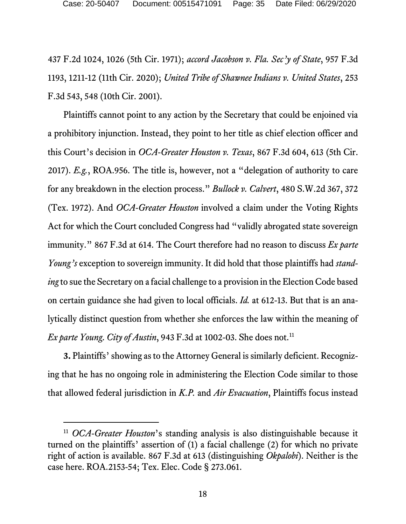<span id="page-34-3"></span><span id="page-34-1"></span>437 F.2d 1024, 1026 (5th Cir. 1971); *accord Jacobson v. Fla. Sec'y of State*, 957 F.3d 1193, 1211-12 (11th Cir. 2020); *United Tribe of Shawnee Indians v. United States*, 253 F.3d 543, 548 (10th Cir. 2001).

<span id="page-34-4"></span><span id="page-34-2"></span><span id="page-34-0"></span>Plaintiffs cannot point to any action by the Secretary that could be enjoined via a prohibitory injunction. Instead, they point to her title as chief election officer and this Court's decision in *OCA-Greater Houston v. Texas*, 867 F.3d 604, 613 (5th Cir. 2017). *E.g.*, ROA.956. The title is, however, not a "delegation of authority to care for any breakdown in the election process." *Bullock v. Calvert*, 480 S.W.2d 367, 372 (Tex. 1972). And *OCA-Greater Houston* involved a claim under the Voting Rights Act for which the Court concluded Congress had "validly abrogated state sovereign immunity." 867 F.3d at 614. The Court therefore had no reason to discuss *Ex parte Young's* exception to sovereign immunity. It did hold that those plaintiffs had *standing* to sue the Secretary on a facial challenge to a provision in the Election Code based on certain guidance she had given to local officials. *Id.* at 612-13. But that is an analytically distinct question from whether she enforces the law within the meaning of *Ex parte Young. City of Austin*, 943 F.3d at 1002-03. She does not.<sup>[11](#page-34-5)</sup>

**3.** Plaintiffs' showing as to the Attorney General is similarly deficient. Recognizing that he has no ongoing role in administering the Election Code similar to those that allowed federal jurisdiction in *K.P.* and *Air Evacuation*, Plaintiffs focus instead

<span id="page-34-5"></span> <sup>11</sup> *OCA-Greater Houston*'s standing analysis is also distinguishable because it turned on the plaintiffs' assertion of (1) a facial challenge (2) for which no private right of action is available. 867 F.3d at 613 (distinguishing *Okpalobi*). Neither is the case here. ROA.2153-54; Tex. Elec. Code § 273.061.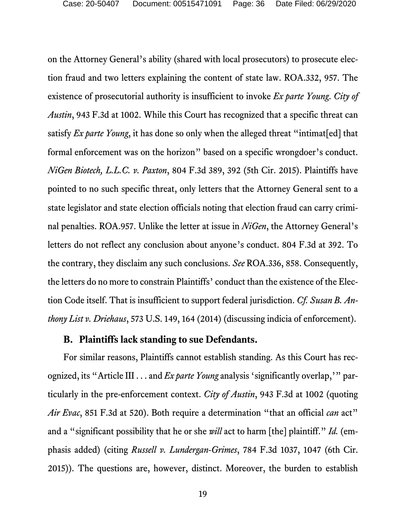<span id="page-35-0"></span>on the Attorney General's ability (shared with local prosecutors) to prosecute election fraud and two letters explaining the content of state law. ROA.332, 957. The existence of prosecutorial authority is insufficient to invoke *Ex parte Young*. *City of Austin*, 943 F.3d at 1002. While this Court has recognized that a specific threat can satisfy *Ex parte Young*, it has done so only when the alleged threat "intimat[ed] that formal enforcement was on the horizon" based on a specific wrongdoer's conduct. *NiGen Biotech, L.L.C. v. Paxton*, 804 F.3d 389, 392 (5th Cir. 2015). Plaintiffs have pointed to no such specific threat, only letters that the Attorney General sent to a state legislator and state election officials noting that election fraud can carry criminal penalties. ROA.957. Unlike the letter at issue in *NiGen*, the Attorney General's letters do not reflect any conclusion about anyone's conduct. 804 F.3d at 392. To the contrary, they disclaim any such conclusions. *See* ROA.336, 858. Consequently, the letters do no more to constrain Plaintiffs' conduct than the existence of the Election Code itself. That is insufficient to support federal jurisdiction. *Cf. Susan B. Anthony List v. Driehaus*, 573 U.S. 149, 164 (2014) (discussing indicia of enforcement).

#### **B. Plaintiffs lack standing to sue Defendants.**

For similar reasons, Plaintiffs cannot establish standing. As this Court has recognized, its "Article III . . . and *Ex parte Young* analysis 'significantly overlap,'" particularly in the pre-enforcement context. *City of Austin*, 943 F.3d at 1002 (quoting *Air Evac*, 851 F.3d at 520). Both require a determination "that an official *can* act" and a "significant possibility that he or she *will* act to harm [the] plaintiff." *Id.* (emphasis added) (citing *Russell v. Lundergan-Grimes*, 784 F.3d 1037, 1047 (6th Cir. 2015)). The questions are, however, distinct. Moreover, the burden to establish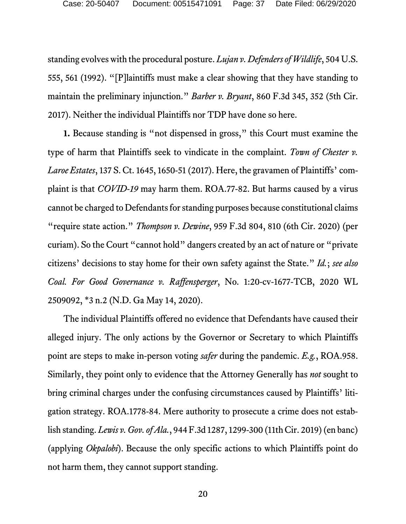<span id="page-36-1"></span><span id="page-36-0"></span>standing evolves with the procedural posture. *Lujan v. Defenders of Wildlife*, 504 U.S. 555, 561 (1992). "[P]laintiffs must make a clear showing that they have standing to maintain the preliminary injunction." *Barber v. Bryant*, 860 F.3d 345, 352 (5th Cir. 2017). Neither the individual Plaintiffs nor TDP have done so here.

<span id="page-36-3"></span><span id="page-36-2"></span>**1.** Because standing is "not dispensed in gross," this Court must examine the type of harm that Plaintiffs seek to vindicate in the complaint. *Town of Chester v. Laroe Estates*, 137 S. Ct. 1645, 1650-51 (2017). Here, the gravamen of Plaintiffs' complaint is that *COVID-19* may harm them. ROA.77-82. But harms caused by a virus cannot be charged to Defendants for standing purposes because constitutional claims "require state action." *Thompson v. Dewine*, 959 F.3d 804, 810 (6th Cir. 2020) (per curiam). So the Court "cannot hold" dangers created by an act of nature or "private citizens' decisions to stay home for their own safety against the State." *Id.*; *see also Coal. For Good Governance v. Raffensperger*, No. 1:20-cv-1677-TCB, 2020 WL 2509092, \*3 n.2 (N.D. Ga May 14, 2020).

The individual Plaintiffs offered no evidence that Defendants have caused their alleged injury. The only actions by the Governor or Secretary to which Plaintiffs point are steps to make in-person voting *safer* during the pandemic. *E.g.*, ROA.958. Similarly, they point only to evidence that the Attorney Generally has *not* sought to bring criminal charges under the confusing circumstances caused by Plaintiffs' litigation strategy. ROA.1778-84. Mere authority to prosecute a crime does not establish standing. *Lewis v. Gov. of Ala.*, 944 F.3d 1287, 1299-300 (11th Cir. 2019) (en banc) (applying *Okpalobi*). Because the only specific actions to which Plaintiffs point do not harm them, they cannot support standing.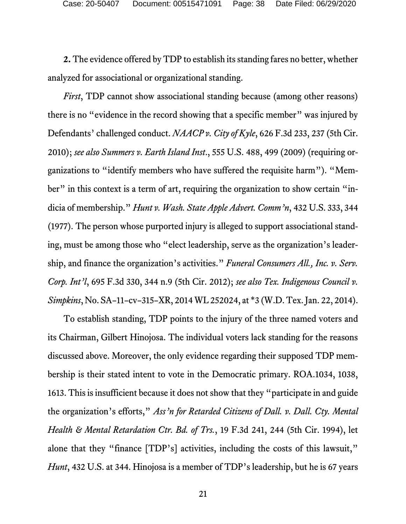**2.** The evidence offered by TDP to establish its standing fares no better, whether analyzed for associational or organizational standing.

<span id="page-37-3"></span><span id="page-37-2"></span><span id="page-37-1"></span>*First*, TDP cannot show associational standing because (among other reasons) there is no "evidence in the record showing that a specific member" was injured by Defendants' challenged conduct. *NAACP v. City of Kyle*, 626 F.3d 233, 237 (5th Cir. 2010); *see also Summers v. Earth Island Inst*., 555 U.S. 488, 499 (2009) (requiring organizations to "identify members who have suffered the requisite harm"). "Member" in this context is a term of art, requiring the organization to show certain "indicia of membership." *Hunt v. Wash. State Apple Advert. Comm'n*, 432 U.S. 333, 344 (1977). The person whose purported injury is alleged to support associational standing, must be among those who "elect leadership, serve as the organization's leadership, and finance the organization's activities." *Funeral Consumers All., Inc. v. Serv. Corp. Int'l*, 695 F.3d 330, 344 n.9 (5th Cir. 2012); *see also Tex. Indigenous Council v. Simpkins*, No. SA–11–cv–315–XR, 2014 WL 252024, at \*3 (W.D. Tex. Jan. 22, 2014).

<span id="page-37-4"></span><span id="page-37-0"></span>To establish standing, TDP points to the injury of the three named voters and its Chairman, Gilbert Hinojosa. The individual voters lack standing for the reasons discussed above. Moreover, the only evidence regarding their supposed TDP membership is their stated intent to vote in the Democratic primary. ROA.1034, 1038, 1613. This is insufficient because it does not show that they "participate in and guide the organization's efforts," *Ass'n for Retarded Citizens of Dall. v. Dall. Cty. Mental Health & Mental Retardation Ctr. Bd. of Trs.*, 19 F.3d 241, 244 (5th Cir. 1994), let alone that they "finance [TDP's] activities, including the costs of this lawsuit," *Hunt*, 432 U.S. at 344. Hinojosa is a member of TDP's leadership, but he is 67 years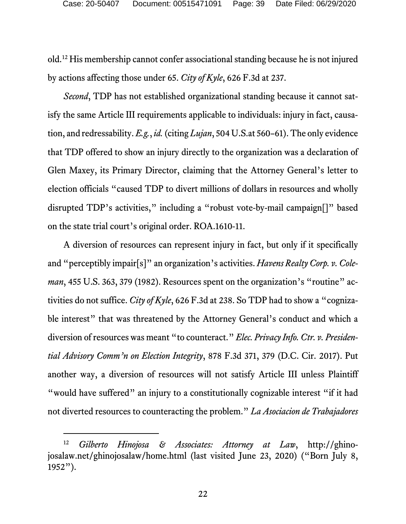<span id="page-38-3"></span>old. [12](#page-38-6) His membership cannot confer associational standing because he is not injured by actions affecting those under 65. *City of Kyle*, 626 F.3d at 237.

<span id="page-38-2"></span>*Second*, TDP has not established organizational standing because it cannot satisfy the same Article III requirements applicable to individuals: injury in fact, causation, and redressability. *E.g.*, *id.* (citing *Lujan*, 504 U.S.at 560–61). The only evidence that TDP offered to show an injury directly to the organization was a declaration of Glen Maxey, its Primary Director, claiming that the Attorney General's letter to election officials "caused TDP to divert millions of dollars in resources and wholly disrupted TDP's activities," including a "robust vote-by-mail campaign[]" based on the state trial court's original order. ROA.1610-11.

<span id="page-38-4"></span><span id="page-38-0"></span>A diversion of resources can represent injury in fact, but only if it specifically and "perceptibly impair[s]" an organization's activities. *Havens Realty Corp. v. Coleman*, 455 U.S. 363, 379 (1982). Resources spent on the organization's "routine" activities do not suffice. *City of Kyle*, 626 F.3d at 238. So TDP had to show a "cognizable interest" that was threatened by the Attorney General's conduct and which a diversion of resources was meant "to counteract." *Elec. Privacy Info. Ctr. v. Presidential Advisory Comm'n on Election Integrity*, 878 F.3d 371, 379 (D.C. Cir. 2017). Put another way, a diversion of resources will not satisfy Article III unless Plaintiff "would have suffered" an injury to a constitutionally cognizable interest "if it had not diverted resources to counteracting the problem." *La Asociacion de Trabajadores* 

<span id="page-38-6"></span><span id="page-38-5"></span><span id="page-38-1"></span> <sup>12</sup> *Gilberto Hinojosa & Associates: Attorney at Law*, http://ghinojosalaw.net/ghinojosalaw/home.html (last visited June 23, 2020) ("Born July 8, 1952").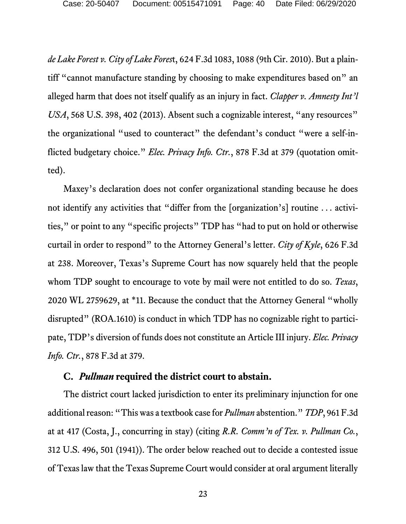<span id="page-39-0"></span>Case: 20-50407 Document: 00515471091 Page: 40 Date Filed: 06/29/2020

*de Lake Forest v. City of Lake Fores*t, 624 F.3d 1083, 1088 (9th Cir. 2010). But a plaintiff "cannot manufacture standing by choosing to make expenditures based on" an alleged harm that does not itself qualify as an injury in fact. *Clapper v. Amnesty Int'l USA*, 568 U.S. 398, 402 (2013). Absent such a cognizable interest, "any resources" the organizational "used to counteract" the defendant's conduct "were a self-inflicted budgetary choice." *Elec. Privacy Info. Ctr.*, 878 F.3d at 379 (quotation omitted).

Maxey's declaration does not confer organizational standing because he does not identify any activities that "differ from the [organization's] routine . . . activities," or point to any "specific projects" TDP has "had to put on hold or otherwise curtail in order to respond" to the Attorney General's letter. *City of Kyle*, 626 F.3d at 238. Moreover, Texas's Supreme Court has now squarely held that the people whom TDP sought to encourage to vote by mail were not entitled to do so. *Texas*, 2020 WL 2759629, at \*11. Because the conduct that the Attorney General "wholly disrupted" (ROA.1610) is conduct in which TDP has no cognizable right to participate, TDP's diversion of funds does not constitute an Article III injury. *Elec. Privacy Info. Ctr.*, 878 F.3d at 379.

#### **C.** *Pullman* **required the district court to abstain.**

The district court lacked jurisdiction to enter its preliminary injunction for one additional reason: "This was a textbook case for *Pullman* abstention." *TDP*, 961 F.3d at at 417 (Costa, J., concurring in stay) (citing *R.R. Comm'n of Tex. v. Pullman Co.*, 312 U.S. 496, 501 (1941)). The order below reached out to decide a contested issue of Texas law that the Texas Supreme Court would consider at oral argument literally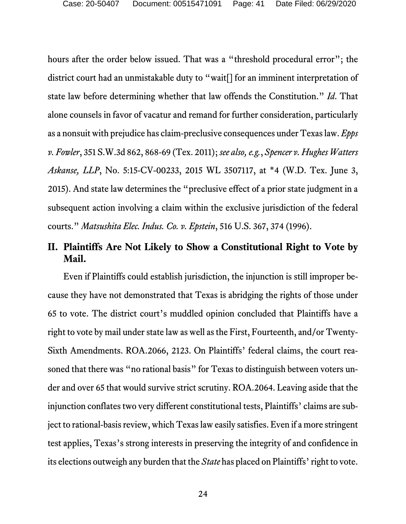hours after the order below issued. That was a "threshold procedural error"; the district court had an unmistakable duty to "wait[] for an imminent interpretation of state law before determining whether that law offends the Constitution." *Id*. That alone counsels in favor of vacatur and remand for further consideration, particularly as a nonsuit with prejudice has claim-preclusive consequences under Texas law. *Epps v. Fowler*, 351 S.W.3d 862, 868-69 (Tex. 2011); *see also, e.g.*, *Spencer v. Hughes Watters Askanse, LLP*, No. 5:15-CV-00233, 2015 WL 3507117, at \*4 (W.D. Tex. June 3, 2015). And state law determines the "preclusive effect of a prior state judgment in a subsequent action involving a claim within the exclusive jurisdiction of the federal courts." *Matsushita Elec. Indus. Co. v. Epstein*, 516 U.S. 367, 374 (1996).

## **II. Plaintiffs Are Not Likely to Show a Constitutional Right to Vote by Mail.**

<span id="page-40-0"></span>Even if Plaintiffs could establish jurisdiction, the injunction is still improper because they have not demonstrated that Texas is abridging the rights of those under 65 to vote. The district court's muddled opinion concluded that Plaintiffs have a right to vote by mail under state law as well as the First, Fourteenth, and/or Twenty-Sixth Amendments. ROA.2066, 2123. On Plaintiffs' federal claims, the court reasoned that there was "no rational basis" for Texas to distinguish between voters under and over 65 that would survive strict scrutiny. ROA.2064. Leaving aside that the injunction conflates two very different constitutional tests, Plaintiffs' claims are subject to rational-basis review, which Texas law easily satisfies. Even if a more stringent test applies, Texas's strong interests in preserving the integrity of and confidence in its elections outweigh any burden that the *State* has placed on Plaintiffs' right to vote.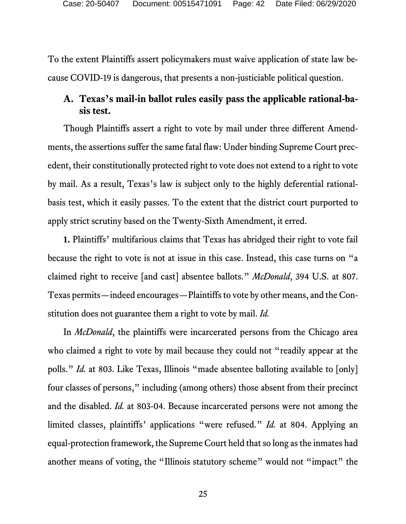To the extent Plaintiffs assert policymakers must waive application of state law because COVID-19 is dangerous, that presents a non-justiciable political question.

## **A. Texas's mail-in ballot rules easily pass the applicable rational-basis test.**

Though Plaintiffs assert a right to vote by mail under three different Amendments, the assertions suffer the same fatal flaw: Under binding Supreme Court precedent, their constitutionally protected right to vote does not extend to a right to vote by mail. As a result, Texas's law is subject only to the highly deferential rationalbasis test, which it easily passes. To the extent that the district court purported to apply strict scrutiny based on the Twenty-Sixth Amendment, it erred.

**1.** Plaintiffs' multifarious claims that Texas has abridged their right to vote fail because the right to vote is not at issue in this case. Instead, this case turns on "a claimed right to receive [and cast] absentee ballots." *McDonald*, 394 U.S. at 807. Texas permits—indeed encourages—Plaintiffs to vote by other means, and the Constitution does not guarantee them a right to vote by mail. *Id.* 

In *McDonald*, the plaintiffs were incarcerated persons from the Chicago area who claimed a right to vote by mail because they could not "readily appear at the polls." *Id.* at 803. Like Texas, Illinois "made absentee balloting available to [only] four classes of persons," including (among others) those absent from their precinct and the disabled. *Id.* at 803-04. Because incarcerated persons were not among the limited classes, plaintiffs' applications "were refused." *Id.* at 804. Applying an equal-protection framework, the Supreme Court held that so long as the inmates had another means of voting, the "Illinois statutory scheme" would not "impact" the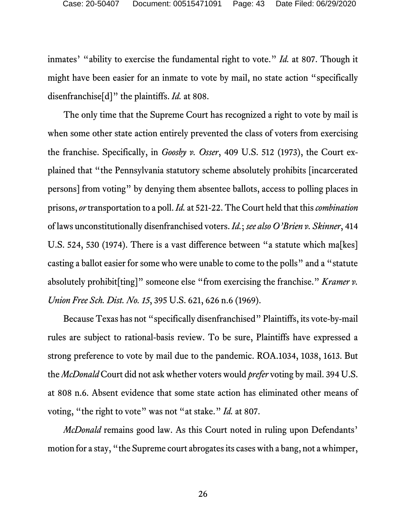inmates' "ability to exercise the fundamental right to vote." *Id.* at 807. Though it might have been easier for an inmate to vote by mail, no state action "specifically disenfranchise[d]" the plaintiffs. *Id.* at 808.

<span id="page-42-0"></span>The only time that the Supreme Court has recognized a right to vote by mail is when some other state action entirely prevented the class of voters from exercising the franchise. Specifically, in *Goosby v. Osser*, 409 U.S. 512 (1973), the Court explained that "the Pennsylvania statutory scheme absolutely prohibits [incarcerated persons] from voting" by denying them absentee ballots, access to polling places in prisons, *or* transportation to a poll. *Id.* at 521-22. The Court held that this*combination*  of laws unconstitutionally disenfranchised voters. *Id.*; *see also O'Brien v. Skinner*, 414 U.S. 524, 530 (1974). There is a vast difference between "a statute which ma[kes] casting a ballot easier for some who were unable to come to the polls" and a "statute absolutely prohibit[ting]" someone else "from exercising the franchise." *Kramer v. Union Free Sch. Dist. No. 15*, 395 U.S. 621, 626 n.6 (1969).

<span id="page-42-2"></span><span id="page-42-1"></span>Because Texas has not "specifically disenfranchised" Plaintiffs, its vote-by-mail rules are subject to rational-basis review. To be sure, Plaintiffs have expressed a strong preference to vote by mail due to the pandemic. ROA.1034, 1038, 1613. But the *McDonald* Court did not ask whether voters would *prefer* voting by mail. 394 U.S. at 808 n.6. Absent evidence that some state action has eliminated other means of voting, "the right to vote" was not "at stake." *Id.* at 807.

*McDonald* remains good law. As this Court noted in ruling upon Defendants' motion for a stay, "the Supreme court abrogates its cases with a bang, not a whimper,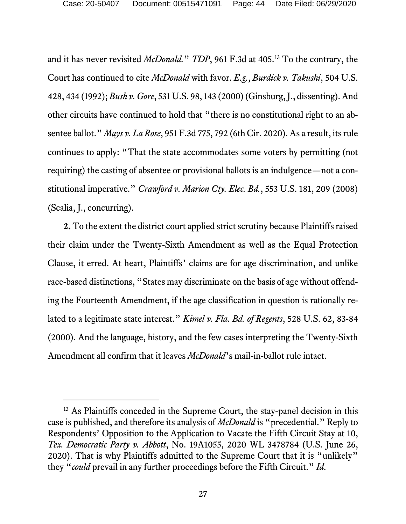<span id="page-43-3"></span><span id="page-43-0"></span>and it has never revisited *McDonald.*" *TDP*, 961 F.3d at 405. [13](#page-43-5) To the contrary, the Court has continued to cite *McDonald* with favor. *E.g.*, *Burdick v. Takushi*, 504 U.S. 428, 434 (1992); *Bush v. Gore*, 531 U.S. 98, 143 (2000) (Ginsburg, J., dissenting). And other circuits have continued to hold that "there is no constitutional right to an absentee ballot." *Mays v. La Rose*, 951 F.3d 775, 792 (6th Cir. 2020). As a result, its rule continues to apply: "That the state accommodates some voters by permitting (not requiring) the casting of absentee or provisional ballots is an indulgence—not a constitutional imperative." *Crawford v. Marion Cty. Elec. Bd.*, 553 U.S. 181, 209 (2008) (Scalia, J., concurring).

<span id="page-43-4"></span><span id="page-43-2"></span><span id="page-43-1"></span>**2.** To the extent the district court applied strict scrutiny because Plaintiffs raised their claim under the Twenty-Sixth Amendment as well as the Equal Protection Clause, it erred. At heart, Plaintiffs' claims are for age discrimination, and unlike race-based distinctions, "States may discriminate on the basis of age without offending the Fourteenth Amendment, if the age classification in question is rationally related to a legitimate state interest." *Kimel v. Fla. Bd. of Regents*, 528 U.S. 62, 83-84 (2000). And the language, history, and the few cases interpreting the Twenty-Sixth Amendment all confirm that it leaves *McDonald*'s mail-in-ballot rule intact.

<span id="page-43-5"></span><sup>&</sup>lt;sup>13</sup> As Plaintiffs conceded in the Supreme Court, the stay-panel decision in this case is published, and therefore its analysis of *McDonald* is "precedential." Reply to Respondents' Opposition to the Application to Vacate the Fifth Circuit Stay at 10, *Tex. Democratic Party v. Abbott*, No. 19A1055, 2020 WL 3478784 (U.S. June 26, 2020). That is why Plaintiffs admitted to the Supreme Court that it is "unlikely" they "*could* prevail in any further proceedings before the Fifth Circuit." *Id*.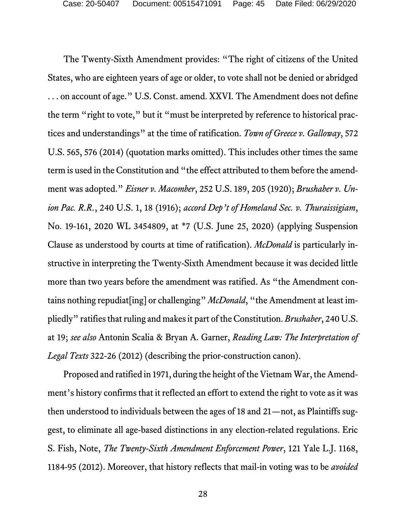<span id="page-44-4"></span><span id="page-44-1"></span>The Twenty-Sixth Amendment provides: "The right of citizens of the United States, who are eighteen years of age or older, to vote shall not be denied or abridged . . . on account of age." U.S. Const. amend. XXVI. The Amendment does not define the term "right to vote," but it "must be interpreted by reference to historical practices and understandings" at the time of ratification. *Town of Greece v. Galloway*, 572 U.S. 565, 576 (2014) (quotation marks omitted). This includes other times the same term is used in the Constitution and "the effect attributed to them before the amendment was adopted." *Eisner v. Macomber*, 252 U.S. 189, 205 (1920); *Brushaber v. Union Pac. R.R.*, 240 U.S. 1, 18 (1916); *accord Dep't of Homeland Sec. v. Thuraissigiam*, No. 19-161, 2020 WL 3454809, at \*7 (U.S. June 25, 2020) (applying Suspension Clause as understood by courts at time of ratification). *McDonald* is particularly instructive in interpreting the Twenty-Sixth Amendment because it was decided little more than two years before the amendment was ratified. As "the Amendment contains nothing repudiat[ing] or challenging" *McDonald*, "the Amendment at least impliedly" ratifies that ruling and makes it part of the Constitution. *Brushaber*, 240 U.S. at 19; *see also* Antonin Scalia & Bryan A. Garner, *Reading Law: The Interpretation of Legal Texts* 322-26 (2012) (describing the prior-construction canon).

<span id="page-44-3"></span><span id="page-44-2"></span><span id="page-44-0"></span>Proposed and ratified in 1971, during the height of the Vietnam War, the Amendment's history confirms that it reflected an effort to extend the right to vote as it was then understood to individuals between the ages of 18 and 21—not, as Plaintiffs suggest, to eliminate all age-based distinctions in any election-related regulations. Eric S. Fish, Note, *The Twenty-Sixth Amendment Enforcement Power*, 121 Yale L.J. 1168, 1184-95 (2012). Moreover, that history reflects that mail-in voting was to be *avoided*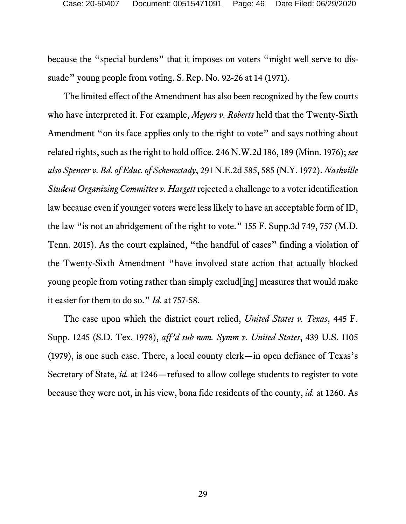because the "special burdens" that it imposes on voters "might well serve to dissuade" young people from voting. S. Rep. No. 92-26 at 14 (1971).

<span id="page-45-0"></span>The limited effect of the Amendment has also been recognized by the few courts who have interpreted it. For example, *Meyers v. Roberts* held that the Twenty-Sixth Amendment "on its face applies only to the right to vote" and says nothing about related rights, such as the right to hold office. 246 N.W.2d 186, 189 (Minn. 1976); *see also Spencer v. Bd. of Educ. of Schenectady*, 291 N.E.2d 585, 585 (N.Y. 1972). *Nashville Student Organizing Committee v. Hargett* rejected a challenge to a voter identification law because even if younger voters were less likely to have an acceptable form of ID, the law "is not an abridgement of the right to vote." 155 F. Supp.3d 749, 757 (M.D. Tenn. 2015). As the court explained, "the handful of cases" finding a violation of the Twenty-Sixth Amendment "have involved state action that actually blocked young people from voting rather than simply exclud[ing] measures that would make it easier for them to do so." *Id.* at 757-58.

<span id="page-45-1"></span>The case upon which the district court relied, *United States v. Texas*, 445 F. Supp. 1245 (S.D. Tex. 1978), *aff'd sub nom. Symm v. United States*, 439 U.S. 1105 (1979), is one such case. There, a local county clerk—in open defiance of Texas's Secretary of State, *id.* at 1246—refused to allow college students to register to vote because they were not, in his view, bona fide residents of the county, *id.* at 1260. As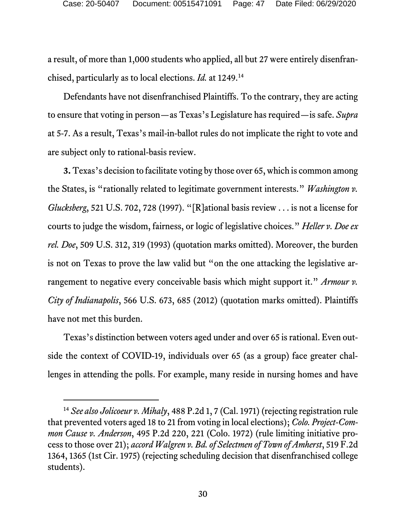a result, of more than 1,000 students who applied, all but 27 were entirely disenfranchised, particularly as to local elections. *Id.* at 1249.[14](#page-46-3)

Defendants have not disenfranchised Plaintiffs. To the contrary, they are acting to ensure that voting in person—as Texas's Legislature has required—is safe. *Supra*  at 5-7. As a result, Texas's mail-in-ballot rules do not implicate the right to vote and are subject only to rational-basis review.

<span id="page-46-2"></span><span id="page-46-1"></span>**3.** Texas's decision to facilitate voting by those over 65, which is common among the States, is "rationally related to legitimate government interests." *Washington v. Glucksberg*, 521 U.S. 702, 728 (1997). "[R]ational basis review . . . is not a license for courts to judge the wisdom, fairness, or logic of legislative choices." *Heller v. Doe ex rel. Doe*, 509 U.S. 312, 319 (1993) (quotation marks omitted). Moreover, the burden is not on Texas to prove the law valid but "on the one attacking the legislative arrangement to negative every conceivable basis which might support it." *Armour v. City of Indianapolis*, 566 U.S. 673, 685 (2012) (quotation marks omitted). Plaintiffs have not met this burden.

<span id="page-46-0"></span>Texas's distinction between voters aged under and over 65 is rational. Even outside the context of COVID-19, individuals over 65 (as a group) face greater challenges in attending the polls. For example, many reside in nursing homes and have

<span id="page-46-3"></span> <sup>14</sup> *See also Jolicoeur v. Mihaly*, 488 P.2d 1, 7 (Cal. 1971) (rejecting registration rule that prevented voters aged 18 to 21 from voting in local elections); *Colo. Project-Common Cause v. Anderson*, 495 P.2d 220, 221 (Colo. 1972) (rule limiting initiative process to those over 21); *accord Walgren v. Bd. of Selectmen of Town of Amherst*, 519 F.2d 1364, 1365 (1st Cir. 1975) (rejecting scheduling decision that disenfranchised college students).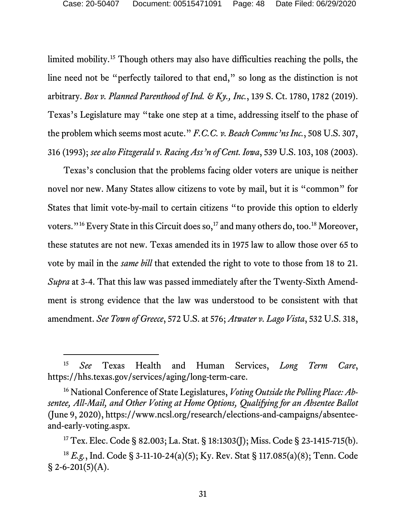<span id="page-47-1"></span>limited mobility.[15](#page-47-13) Though others may also have difficulties reaching the polls, the line need not be "perfectly tailored to that end," so long as the distinction is not arbitrary. *Box v. Planned Parenthood of Ind. & Ky., Inc.*, 139 S. Ct. 1780, 1782 (2019). Texas's Legislature may "take one step at a time, addressing itself to the phase of the problem which seems most acute." *F.C.C. v. Beach Commc'ns Inc.*, 508 U.S. 307, 316 (1993); *see also Fitzgerald v. Racing Ass'n of Cent. Iowa*, 539 U.S. 103, 108 (2003).

<span id="page-47-2"></span>Texas's conclusion that the problems facing older voters are unique is neither novel nor new. Many States allow citizens to vote by mail, but it is "common" for States that limit vote-by-mail to certain citizens "to provide this option to elderly voters."<sup>[16](#page-47-14)</sup> Every State in this Circuit does so,<sup>[17](#page-47-15)</sup> and many others do, too.<sup>[18](#page-47-16)</sup> Moreover, these statutes are not new. Texas amended its in 1975 law to allow those over 65 to vote by mail in the *same bill* that extended the right to vote to those from 18 to 21. *Supra* at 3-4. That this law was passed immediately after the Twenty-Sixth Amendment is strong evidence that the law was understood to be consistent with that amendment. *See Town of Greece*, 572 U.S. at 576; *Atwater v. Lago Vista*, 532 U.S. 318,

<span id="page-47-13"></span><span id="page-47-12"></span><span id="page-47-10"></span><span id="page-47-3"></span><span id="page-47-0"></span> <sup>15</sup> *See* Texas Health and Human Services, *Long Term Care*, [https://hhs.texas.gov/services/aging/long-term-care.](https://hhs.texas.gov/services/aging/long-term-care)

<span id="page-47-14"></span><sup>16</sup> National Conference of State Legislatures, *Voting Outside the Polling Place: Absentee, All-Mail, and Other Voting at Home Options, Qualifying for an Absentee Ballot* (June 9, 2020), https://www.ncsl.org/research/elections-and-campaigns/absenteeand-early-voting.aspx.

<span id="page-47-11"></span><span id="page-47-9"></span><span id="page-47-8"></span><span id="page-47-7"></span><span id="page-47-6"></span><span id="page-47-5"></span><span id="page-47-4"></span><sup>17</sup> Tex. Elec. Code § 82.003; La. Stat. § 18:1303(J); Miss. Code § 23-1415-715(b).

<span id="page-47-16"></span><span id="page-47-15"></span><sup>18</sup> *E.g.*, Ind. Code § 3-11-10-24(a)(5); Ky. Rev. Stat § 117.085(a)(8); Tenn. Code  $§ 2-6-201(5)(A).$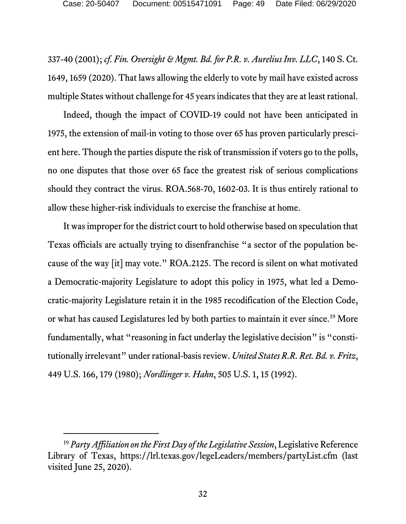<span id="page-48-0"></span>337-40 (2001); *cf. Fin. Oversight & Mgmt. Bd. for P.R. v. Aurelius Inv. LLC*, 140 S. Ct. 1649, 1659 (2020). That laws allowing the elderly to vote by mail have existed across multiple States without challenge for 45 years indicates that they are at least rational.

Indeed, though the impact of COVID-19 could not have been anticipated in 1975, the extension of mail-in voting to those over 65 has proven particularly prescient here. Though the parties dispute the risk of transmission if voters go to the polls, no one disputes that those over 65 face the greatest risk of serious complications should they contract the virus. ROA.568-70, 1602-03. It is thus entirely rational to allow these higher-risk individuals to exercise the franchise at home.

It was improper for the district court to hold otherwise based on speculation that Texas officials are actually trying to disenfranchise "a sector of the population because of the way [it] may vote." ROA.2125. The record is silent on what motivated a Democratic-majority Legislature to adopt this policy in 1975, what led a Democratic-majority Legislature retain it in the 1985 recodification of the Election Code, or what has caused Legislatures led by both parties to maintain it ever since. [19](#page-48-4) More fundamentally, what "reasoning in fact underlay the legislative decision" is "constitutionally irrelevant" under rational-basis review. *United States R.R. Ret. Bd. v. Fritz*, 449 U.S. 166, 179 (1980); *Nordlinger v. Hahn*, 505 U.S. 1, 15 (1992).

<span id="page-48-4"></span><span id="page-48-3"></span><span id="page-48-2"></span><span id="page-48-1"></span> <sup>19</sup> *Party Affiliation on the First Day of the Legislative Session*, Legislative Reference Library of Texas, https://lrl.texas.gov/legeLeaders/members/partyList.cfm (last visited June 25, 2020).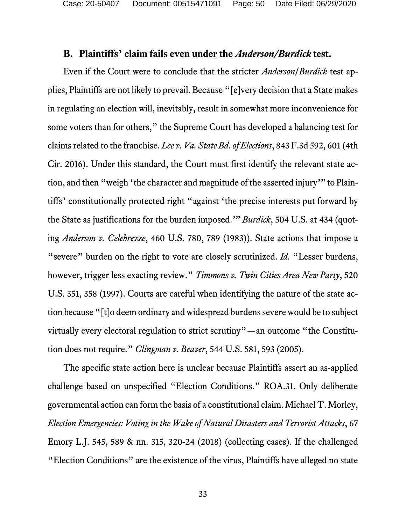Case: 20-50407 Document: 00515471091 Page: 50 Date Filed: 06/29/2020

#### <span id="page-49-2"></span>**B. Plaintiffs' claim fails even under the** *Anderson/Burdick* **test.**

Even if the Court were to conclude that the stricter *Anderson*/*Burdick* test applies, Plaintiffs are not likely to prevail. Because "[e]very decision that a State makes in regulating an election will, inevitably, result in somewhat more inconvenience for some voters than for others," the Supreme Court has developed a balancing test for claims related to the franchise. *Lee v. Va. State Bd. of Elections*, 843 F.3d 592, 601 (4th Cir. 2016). Under this standard, the Court must first identify the relevant state action, and then "weigh 'the character and magnitude of the asserted injury'"to Plaintiffs' constitutionally protected right "against 'the precise interests put forward by the State as justifications for the burden imposed.'" *Burdick*, 504 U.S. at 434 (quoting *Anderson v. Celebrezze*, 460 U.S. 780, 789 (1983)). State actions that impose a "severe" burden on the right to vote are closely scrutinized. *Id.* "Lesser burdens, however, trigger less exacting review." *Timmons v. Twin Cities Area New Party*, 520 U.S. 351, 358 (1997). Courts are careful when identifying the nature of the state action because "[t]o deem ordinary and widespread burdens severe would be to subject virtually every electoral regulation to strict scrutiny"—an outcome "the Constitution does not require." *Clingman v. Beaver*, 544 U.S. 581, 593 (2005).

<span id="page-49-4"></span><span id="page-49-3"></span><span id="page-49-1"></span><span id="page-49-0"></span>The specific state action here is unclear because Plaintiffs assert an as-applied challenge based on unspecified "Election Conditions." ROA.31. Only deliberate governmental action can form the basis of a constitutional claim. Michael T. Morley, *Election Emergencies: Voting in the Wake of Natural Disasters and Terrorist Attacks*, 67 Emory L.J. 545, 589 & nn. 315, 320-24 (2018) (collecting cases). If the challenged "Election Conditions" are the existence of the virus, Plaintiffs have alleged no state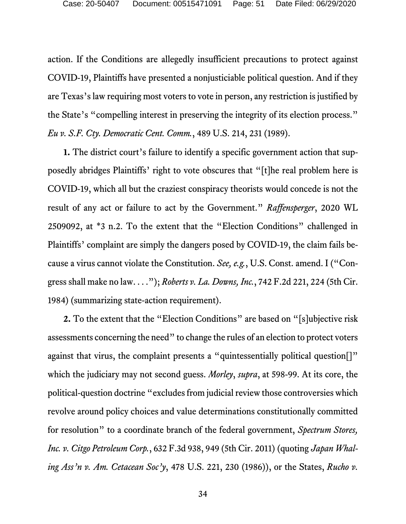action. If the Conditions are allegedly insufficient precautions to protect against COVID-19, Plaintiffs have presented a nonjusticiable political question. And if they are Texas's law requiring most voters to vote in person, any restriction is justified by the State's "compelling interest in preserving the integrity of its election process." *Eu v. S.F. Cty. Democratic Cent. Comm.*, 489 U.S. 214, 231 (1989).

<span id="page-50-0"></span>**1.** The district court's failure to identify a specific government action that supposedly abridges Plaintiffs' right to vote obscures that "[t]he real problem here is COVID-19, which all but the craziest conspiracy theorists would concede is not the result of any act or failure to act by the Government." *Raffensperger*, 2020 WL 2509092, at \*3 n.2. To the extent that the "Election Conditions" challenged in Plaintiffs' complaint are simply the dangers posed by COVID-19, the claim fails because a virus cannot violate the Constitution. *See, e.g.*, U.S. Const. amend. I ("Congress shall make no law. . . ."); *Roberts v. La. Downs, Inc.*, 742 F.2d 221, 224 (5th Cir. 1984) (summarizing state-action requirement).

<span id="page-50-5"></span><span id="page-50-4"></span><span id="page-50-3"></span><span id="page-50-2"></span><span id="page-50-1"></span>**2.** To the extent that the "Election Conditions" are based on "[s]ubjective risk assessments concerning the need" to change the rules of an election to protect voters against that virus, the complaint presents a "quintessentially political question[]" which the judiciary may not second guess. *Morley*, *supra*, at 598-99. At its core, the political-question doctrine "excludes from judicial review those controversies which revolve around policy choices and value determinations constitutionally committed for resolution" to a coordinate branch of the federal government, *Spectrum Stores, Inc. v. Citgo Petroleum Corp.*, 632 F.3d 938, 949 (5th Cir. 2011) (quoting *Japan Whaling Ass'n v. Am. Cetacean Soc'y*, 478 U.S. 221, 230 (1986)), or the States, *Rucho v.*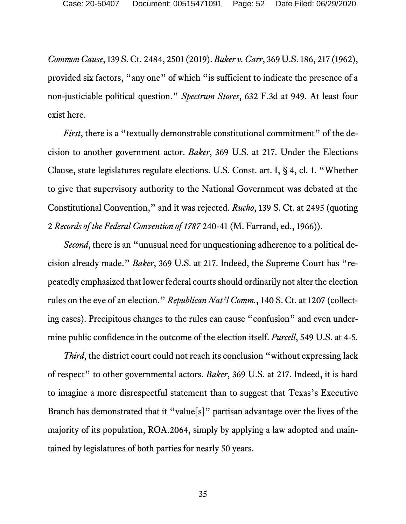*Common Cause*, 139 S. Ct. 2484, 2501 (2019). *Baker v. Carr*, 369 U.S. 186, 217 (1962), provided six factors, "any one" of which "is sufficient to indicate the presence of a non-justiciable political question." *Spectrum Stores*, 632 F.3d at 949. At least four exist here.

<span id="page-51-2"></span>*First*, there is a "textually demonstrable constitutional commitment" of the decision to another government actor. *Baker*, 369 U.S. at 217. Under the Elections Clause, state legislatures regulate elections. U.S. Const. art. I, § 4, cl. 1. "Whether to give that supervisory authority to the National Government was debated at the Constitutional Convention," and it was rejected. *Rucho*, 139 S. Ct. at 2495 (quoting 2 *Records of the Federal Convention of 1787* 240-41 (M. Farrand, ed., 1966)).

<span id="page-51-1"></span><span id="page-51-0"></span>*Second*, there is an "unusual need for unquestioning adherence to a political decision already made." *Baker*, 369 U.S. at 217. Indeed, the Supreme Court has "repeatedly emphasized that lower federal courts should ordinarily not alter the election rules on the eve of an election." *Republican Nat'l Comm.*, 140 S. Ct. at 1207 (collecting cases). Precipitous changes to the rules can cause "confusion" and even undermine public confidence in the outcome of the election itself. *Purcell*, 549 U.S. at 4-5.

*Third*, the district court could not reach its conclusion "without expressing lack of respect" to other governmental actors. *Baker*, 369 U.S. at 217. Indeed, it is hard to imagine a more disrespectful statement than to suggest that Texas's Executive Branch has demonstrated that it "value[s]" partisan advantage over the lives of the majority of its population, ROA.2064, simply by applying a law adopted and maintained by legislatures of both parties for nearly 50 years.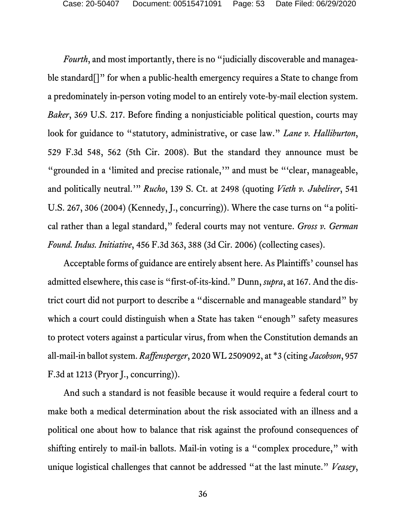<span id="page-52-2"></span>*Fourth*, and most importantly, there is no "judicially discoverable and manageable standard<sup>[]"</sup> for when a public-health emergency requires a State to change from a predominately in-person voting model to an entirely vote-by-mail election system. *Baker*, 369 U.S. 217. Before finding a nonjusticiable political question, courts may look for guidance to "statutory, administrative, or case law." *Lane v. Halliburton*, 529 F.3d 548, 562 (5th Cir. 2008). But the standard they announce must be "grounded in a 'limited and precise rationale, '" and must be "'clear, manageable, and politically neutral.'" *Rucho*, 139 S. Ct. at 2498 (quoting *Vieth v. Jubelirer*, 541 U.S. 267, 306 (2004) (Kennedy, J., concurring)). Where the case turns on "a political rather than a legal standard," federal courts may not venture. *Gross v. German Found. Indus. Initiative*, 456 F.3d 363, 388 (3d Cir. 2006) (collecting cases).

<span id="page-52-6"></span><span id="page-52-5"></span><span id="page-52-3"></span>Acceptable forms of guidance are entirely absent here. As Plaintiffs' counsel has admitted elsewhere, this case is "first-of-its-kind." Dunn, *supra*, at 167. And the district court did not purport to describe a "discernable and manageable standard" by which a court could distinguish when a State has taken "enough" safety measures to protect voters against a particular virus, from when the Constitution demands an all-mail-in ballot system. *Raffensperger*, 2020 WL 2509092, at \*3 (citing *Jacobson*, 957 F.3d at 1213 (Pryor J., concurring)).

<span id="page-52-4"></span><span id="page-52-1"></span><span id="page-52-0"></span>And such a standard is not feasible because it would require a federal court to make both a medical determination about the risk associated with an illness and a political one about how to balance that risk against the profound consequences of shifting entirely to mail-in ballots. Mail-in voting is a "complex procedure," with unique logistical challenges that cannot be addressed "at the last minute." *Veasey*,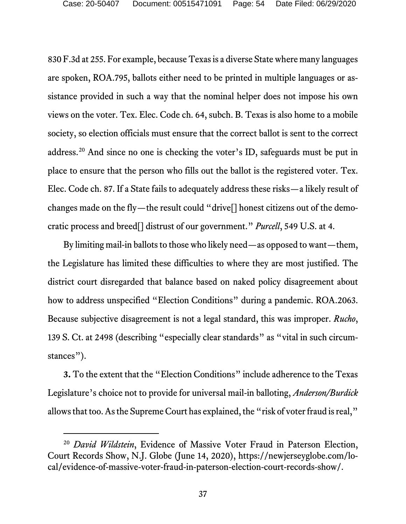<span id="page-53-2"></span><span id="page-53-0"></span>830 F.3d at 255. For example, because Texas is a diverse State where many languages are spoken, ROA.795, ballots either need to be printed in multiple languages or assistance provided in such a way that the nominal helper does not impose his own views on the voter. Tex. Elec. Code ch. 64, subch. B. Texas is also home to a mobile society, so election officials must ensure that the correct ballot is sent to the correct address.[20](#page-53-5) And since no one is checking the voter's ID, safeguards must be put in place to ensure that the person who fills out the ballot is the registered voter. Tex. Elec. Code ch. 87. If a State fails to adequately address these risks—a likely result of changes made on the fly—the result could "drive[] honest citizens out of the democratic process and breed[] distrust of our government." *Purcell*, 549 U.S. at 4.

<span id="page-53-3"></span>By limiting mail-in ballots to those who likely need—as opposed to want—them, the Legislature has limited these difficulties to where they are most justified. The district court disregarded that balance based on naked policy disagreement about how to address unspecified "Election Conditions" during a pandemic. ROA.2063. Because subjective disagreement is not a legal standard, this was improper. *Rucho*, 139 S. Ct. at 2498 (describing "especially clear standards" as "vital in such circumstances").

<span id="page-53-1"></span>**3.** To the extent that the "Election Conditions" include adherence to the Texas Legislature's choice not to provide for universal mail-in balloting, *Anderson/Burdick*  allows that too. As the Supreme Court has explained, the "risk of voter fraud is real,"

<span id="page-53-5"></span><span id="page-53-4"></span> <sup>20</sup> *David Wildstein*, Evidence of Massive Voter Fraud in Paterson Election, Court Records Show, N.J. Globe (June 14, 2020), https://newjerseyglobe.com/local/evidence-of-massive-voter-fraud-in-paterson-election-court-records-show/.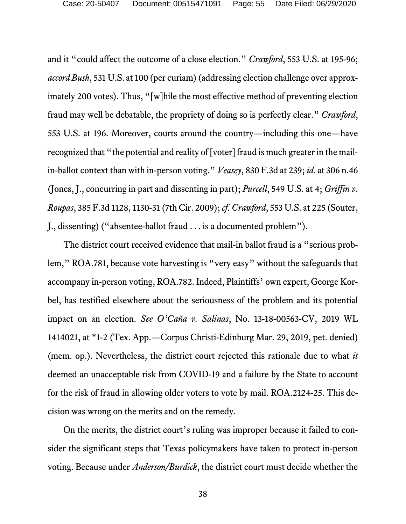and it "could affect the outcome of a close election." *Crawford*, 553 U.S. at 195-96; *accord Bush*, 531 U.S. at 100 (per curiam) (addressing election challenge over approximately 200 votes). Thus, "[w]hile the most effective method of preventing election fraud may well be debatable, the propriety of doing so is perfectly clear." *Crawford*, 553 U.S. at 196. Moreover, courts around the country—including this one—have recognized that "the potential and reality of [voter] fraud is much greater in the mailin-ballot context than with in-person voting." *Veasey*, 830 F.3d at 239; *id.* at 306 n.46 (Jones, J., concurring in part and dissenting in part); *Purcell*, 549 U.S. at 4; *Griffin v. Roupas*, 385 F.3d 1128, 1130-31 (7th Cir. 2009); *cf. Crawford*, 553 U.S. at 225 (Souter, J., dissenting) ("absentee-ballot fraud . . . is a documented problem").

<span id="page-54-1"></span><span id="page-54-0"></span>The district court received evidence that mail-in ballot fraud is a "serious problem," ROA.781, because vote harvesting is "very easy" without the safeguards that accompany in-person voting, ROA.782. Indeed, Plaintiffs' own expert, George Korbel, has testified elsewhere about the seriousness of the problem and its potential impact on an election. *See O'Caña v. Salinas*, No. 13-18-00563-CV, 2019 WL 1414021, at \*1-2 (Tex. App.—Corpus Christi-Edinburg Mar. 29, 2019, pet. denied) (mem. op.). Nevertheless, the district court rejected this rationale due to what *it* deemed an unacceptable risk from COVID-19 and a failure by the State to account for the risk of fraud in allowing older voters to vote by mail. ROA.2124-25. This decision was wrong on the merits and on the remedy.

On the merits, the district court's ruling was improper because it failed to consider the significant steps that Texas policymakers have taken to protect in-person voting. Because under *Anderson/Burdick*, the district court must decide whether the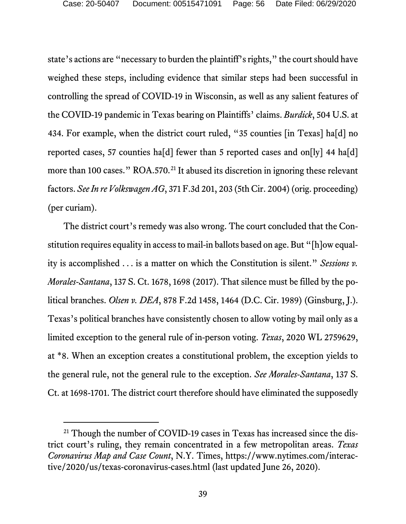state's actions are "necessary to burden the plaintiff's rights," the court should have weighed these steps, including evidence that similar steps had been successful in controlling the spread of COVID-19 in Wisconsin, as well as any salient features of the COVID-19 pandemic in Texas bearing on Plaintiffs' claims. *Burdick*, 504 U.S. at 434. For example, when the district court ruled, "35 counties [in Texas] ha[d] no reported cases, 57 counties ha[d] fewer than 5 reported cases and on[ly] 44 ha[d] more than 100 cases." ROA.570.<sup>[21](#page-55-3)</sup> It abused its discretion in ignoring these relevant factors. *See In re Volkswagen AG*, 371 F.3d 201, 203 (5th Cir. 2004) (orig. proceeding) (per curiam).

<span id="page-55-2"></span><span id="page-55-1"></span><span id="page-55-0"></span>The district court's remedy was also wrong. The court concluded that the Constitution requires equality in access to mail-in ballots based on age. But "[h]ow equality is accomplished . . . is a matter on which the Constitution is silent." *Sessions v. Morales-Santana*, 137 S. Ct. 1678, 1698 (2017). That silence must be filled by the political branches. *Olsen v. DEA*, 878 F.2d 1458, 1464 (D.C. Cir. 1989) (Ginsburg, J.). Texas's political branches have consistently chosen to allow voting by mail only as a limited exception to the general rule of in-person voting. *Texas*, 2020 WL 2759629, at \*8. When an exception creates a constitutional problem, the exception yields to the general rule, not the general rule to the exception. *See Morales-Santana*, 137 S. Ct. at 1698-1701. The district court therefore should have eliminated the supposedly

<span id="page-55-3"></span><sup>&</sup>lt;sup>21</sup> Though the number of COVID-19 cases in Texas has increased since the district court's ruling, they remain concentrated in a few metropolitan areas. *Texas Coronavirus Map and Case Count*, N.Y. Times, https://www.nytimes.com/interactive/2020/us/texas-coronavirus-cases.html (last updated June 26, 2020).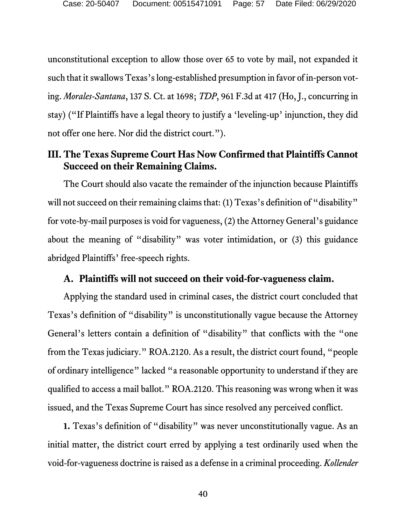unconstitutional exception to allow those over 65 to vote by mail, not expanded it such that it swallows Texas's long-established presumption in favor of in-person voting. *Morales-Santana*, 137 S. Ct. at 1698; *TDP*, 961 F.3d at 417 (Ho, J., concurring in stay) ("If Plaintiffs have a legal theory to justify a 'leveling-up' injunction, they did not offer one here. Nor did the district court.").

## **III. The Texas Supreme Court Has Now Confirmed that Plaintiffs Cannot Succeed on their Remaining Claims.**

The Court should also vacate the remainder of the injunction because Plaintiffs will not succeed on their remaining claims that: (1) Texas's definition of "disability" for vote-by-mail purposes is void for vagueness, (2) the Attorney General's guidance about the meaning of "disability" was voter intimidation, or (3) this guidance abridged Plaintiffs' free-speech rights.

## **A. Plaintiffs will not succeed on their void-for-vagueness claim.**

Applying the standard used in criminal cases, the district court concluded that Texas's definition of "disability" is unconstitutionally vague because the Attorney General's letters contain a definition of "disability" that conflicts with the "one from the Texas judiciary." ROA.2120. As a result, the district court found, "people of ordinary intelligence" lacked "a reasonable opportunity to understand if they are qualified to access a mail ballot." ROA.2120. This reasoning was wrong when it was issued, and the Texas Supreme Court has since resolved any perceived conflict.

<span id="page-56-0"></span>**1.** Texas's definition of "disability" was never unconstitutionally vague. As an initial matter, the district court erred by applying a test ordinarily used when the void-for-vagueness doctrine is raised as a defense in a criminal proceeding. *Kollender*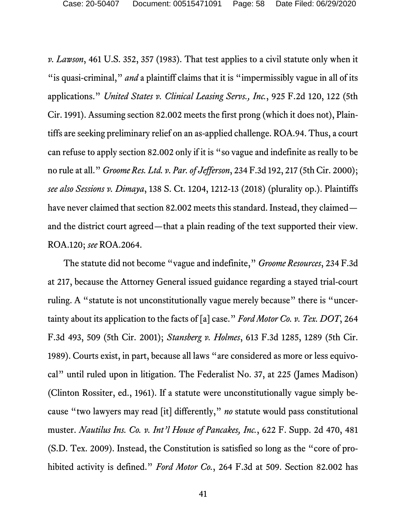<span id="page-57-5"></span>*v. Lawson*, 461 U.S. 352, 357 (1983). That test applies to a civil statute only when it "is quasi-criminal," *and* a plaintiff claims that it is "impermissibly vague in all of its" applications." *United States v. Clinical Leasing Servs., Inc.*, 925 F.2d 120, 122 (5th Cir. 1991). Assuming section 82.002 meets the first prong (which it does not), Plaintiffs are seeking preliminary relief on an as-applied challenge. ROA.94. Thus, a court can refuse to apply section 82.002 only if it is "so vague and indefinite as really to be no rule at all." *Groome Res. Ltd. v. Par.of Jefferson*, 234 F.3d 192, 217 (5th Cir. 2000); *see also Sessions v. Dimaya*, 138 S. Ct. 1204, 1212-13 (2018) (plurality op.). Plaintiffs have never claimed that section 82.002 meets this standard. Instead, they claimed and the district court agreed—that a plain reading of the text supported their view. ROA.120; *see* ROA.2064.

<span id="page-57-7"></span><span id="page-57-6"></span><span id="page-57-4"></span><span id="page-57-3"></span><span id="page-57-2"></span><span id="page-57-1"></span><span id="page-57-0"></span>The statute did not become "vague and indefinite," *Groome Resources*, 234 F.3d at 217, because the Attorney General issued guidance regarding a stayed trial-court ruling. A "statute is not unconstitutionally vague merely because" there is "uncertainty about its application to the facts of [a] case." *Ford Motor Co. v. Tex. DOT*, 264 F.3d 493, 509 (5th Cir. 2001); *Stansberg v. Holmes*, 613 F.3d 1285, 1289 (5th Cir. 1989). Courts exist, in part, because all laws "are considered as more or less equivocal" until ruled upon in litigation. The Federalist No. 37, at 225 (James Madison) (Clinton Rossiter, ed., 1961). If a statute were unconstitutionally vague simply because "two lawyers may read [it] differently," *no* statute would pass constitutional muster. *Nautilus Ins. Co. v. Int'l House of Pancakes, Inc.*, 622 F. Supp. 2d 470, 481 (S.D. Tex. 2009). Instead, the Constitution is satisfied so long as the "core of prohibited activity is defined." *Ford Motor Co.*, 264 F.3d at 509. Section 82.002 has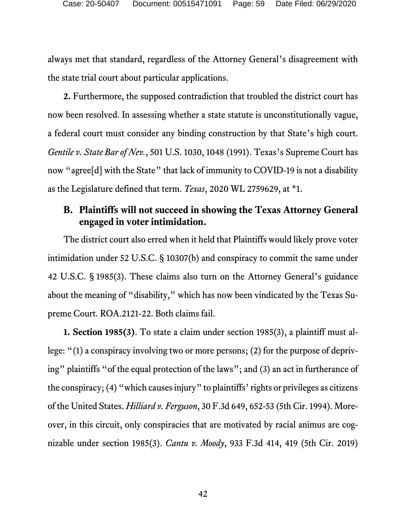<span id="page-58-1"></span>always met that standard, regardless of the Attorney General's disagreement with the state trial court about particular applications.

**2.** Furthermore, the supposed contradiction that troubled the district court has now been resolved. In assessing whether a state statute is unconstitutionally vague, a federal court must consider any binding construction by that State's high court. *Gentile v. State Bar of Nev.*, 501 U.S. 1030, 1048 (1991). Texas's Supreme Court has now "agree<sup>[d]</sup> with the State" that lack of immunity to COVID-19 is not a disability as the Legislature defined that term. *Texas*, 2020 WL 2759629, at \*1.

## <span id="page-58-4"></span>**B. Plaintiffs will not succeed in showing the Texas Attorney General engaged in voter intimidation.**

<span id="page-58-3"></span>The district court also erred when it held that Plaintiffs would likely prove voter intimidation under 52 U.S.C. § 10307(b) and conspiracy to commit the same under 42 U.S.C. § 1985(3). These claims also turn on the Attorney General's guidance about the meaning of "disability," which has now been vindicated by the Texas Supreme Court. ROA.2121-22. Both claims fail.

<span id="page-58-2"></span><span id="page-58-0"></span>**1. Section 1985(3)**. To state a claim under section 1985(3), a plaintiff must allege: "(1) a conspiracy involving two or more persons; (2) for the purpose of depriving" plaintiffs "of the equal protection of the laws"; and (3) an act in furtherance of the conspiracy; (4) "which causes injury" to plaintiffs' rights or privileges as citizens of the United States. *Hilliard v. Ferguson*, 30 F.3d 649, 652-53 (5th Cir. 1994). Moreover, in this circuit, only conspiracies that are motivated by racial animus are cognizable under section 1985(3). *Cantu v. Moody*, 933 F.3d 414, 419 (5th Cir. 2019)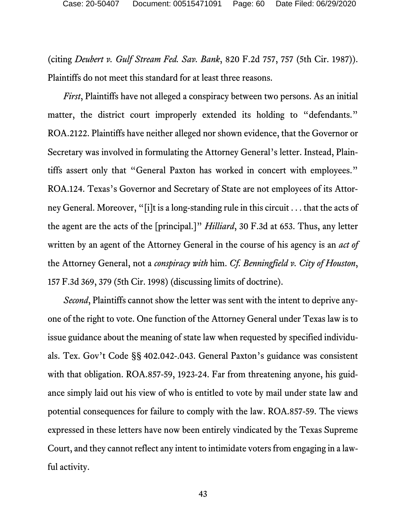(citing *Deubert v. Gulf Stream Fed. Sav. Bank*, 820 F.2d 757, 757 (5th Cir. 1987)). Plaintiffs do not meet this standard for at least three reasons.

*First*, Plaintiffs have not alleged a conspiracy between two persons. As an initial matter, the district court improperly extended its holding to "defendants." ROA.2122. Plaintiffs have neither alleged nor shown evidence, that the Governor or Secretary was involved in formulating the Attorney General's letter. Instead, Plaintiffs assert only that "General Paxton has worked in concert with employees." ROA.124. Texas's Governor and Secretary of State are not employees of its Attorney General. Moreover, "[i]t is a long-standing rule in this circuit . . . that the acts of the agent are the acts of the [principal.]" *Hilliard*, 30 F.3d at 653. Thus, any letter written by an agent of the Attorney General in the course of his agency is an *act of*  the Attorney General, not a *conspiracy with* him. *Cf. Benningfield v. City of Houston*, 157 F.3d 369, 379 (5th Cir. 1998) (discussing limits of doctrine).

<span id="page-59-2"></span><span id="page-59-1"></span><span id="page-59-0"></span>*Second*, Plaintiffs cannot show the letter was sent with the intent to deprive anyone of the right to vote. One function of the Attorney General under Texas law is to issue guidance about the meaning of state law when requested by specified individuals. Tex. Gov't Code §§ 402.042-.043. General Paxton's guidance was consistent with that obligation. ROA.857-59, 1923-24. Far from threatening anyone, his guidance simply laid out his view of who is entitled to vote by mail under state law and potential consequences for failure to comply with the law. ROA.857-59. The views expressed in these letters have now been entirely vindicated by the Texas Supreme Court, and they cannot reflect any intent to intimidate voters from engaging in a lawful activity.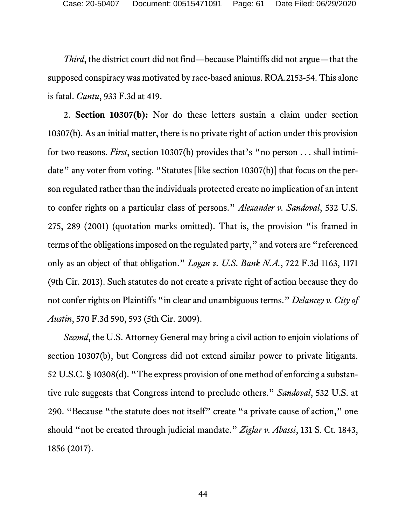<span id="page-60-5"></span>*Third*, the district court did not find—because Plaintiffs did not argue—that the supposed conspiracy was motivated by race-based animus. ROA.2153-54. This alone is fatal. *Cantu*, 933 F.3d at 419.

<span id="page-60-1"></span>2. **Section 10307(b):** Nor do these letters sustain a claim under section 10307(b). As an initial matter, there is no private right of action under this provision for two reasons. *First*, section 10307(b) provides that's "no person . . . shall intimidate" any voter from voting. "Statutes [like section 10307(b)] that focus on the person regulated rather than the individuals protected create no implication of an intent to confer rights on a particular class of persons." *Alexander v. Sandoval*, 532 U.S. 275, 289 (2001) (quotation marks omitted). That is, the provision "is framed in terms of the obligations imposed on the regulated party," and voters are "referenced only as an object of that obligation." *Logan v. U.S. Bank N.A.*, 722 F.3d 1163, 1171 (9th Cir. 2013). Such statutes do not create a private right of action because they do not confer rights on Plaintiffs "in clear and unambiguous terms." *Delancey v. City of Austin*, 570 F.3d 590, 593 (5th Cir. 2009).

<span id="page-60-6"></span><span id="page-60-4"></span><span id="page-60-3"></span><span id="page-60-2"></span><span id="page-60-0"></span>*Second*, the U.S. Attorney General may bring a civil action to enjoin violations of section 10307(b), but Congress did not extend similar power to private litigants. 52 U.S.C. § 10308(d). "The express provision of one method of enforcing a substantive rule suggests that Congress intend to preclude others." *Sandoval*, 532 U.S. at 290. "Because "the statute does not itself" create "a private cause of action," one should "not be created through judicial mandate." *Ziglar v. Abassi*, 131 S. Ct. 1843, 1856 (2017).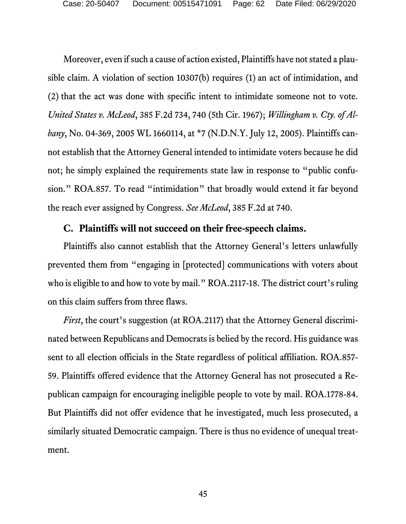<span id="page-61-0"></span>Moreover, even if such a cause of action existed, Plaintiffs have not stated a plausible claim. A violation of section 10307(b) requires (1) an act of intimidation, and (2) that the act was done with specific intent to intimidate someone not to vote. *United States v. McLeod*, 385 F.2d 734, 740 (5th Cir. 1967); *Willingham v. Cty. of Albany*, No. 04-369, 2005 WL 1660114, at \*7 (N.D.N.Y. July 12, 2005). Plaintiffs cannot establish that the Attorney General intended to intimidate voters because he did not; he simply explained the requirements state law in response to "public confusion." ROA.857. To read "intimidation" that broadly would extend it far beyond the reach ever assigned by Congress. *See McLeod*, 385 F.2d at 740.

#### **C. Plaintiffs will not succeed on their free-speech claims.**

Plaintiffs also cannot establish that the Attorney General's letters unlawfully prevented them from "engaging in [protected] communications with voters about who is eligible to and how to vote by mail." ROA.2117-18. The district court's ruling on this claim suffers from three flaws.

*First*, the court's suggestion (at ROA.2117) that the Attorney General discriminated between Republicans and Democrats is belied by the record. His guidance was sent to all election officials in the State regardless of political affiliation. ROA.857- 59. Plaintiffs offered evidence that the Attorney General has not prosecuted a Republican campaign for encouraging ineligible people to vote by mail. ROA.1778-84. But Plaintiffs did not offer evidence that he investigated, much less prosecuted, a similarly situated Democratic campaign. There is thus no evidence of unequal treatment.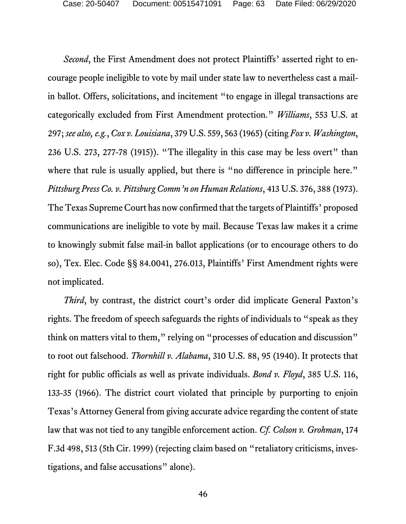<span id="page-62-6"></span><span id="page-62-3"></span><span id="page-62-2"></span>*Second*, the First Amendment does not protect Plaintiffs' asserted right to encourage people ineligible to vote by mail under state law to nevertheless cast a mailin ballot. Offers, solicitations, and incitement "to engage in illegal transactions are categorically excluded from First Amendment protection." *Williams*, 553 U.S. at 297; *see also, e.g.*, *Cox v. Louisiana*, 379 U.S. 559, 563 (1965) (citing *Fox v. Washington*, 236 U.S. 273, 277-78 (1915)). "The illegality in this case may be less overt" than where that rule is usually applied, but there is "no difference in principle here." *Pittsburg Press Co. v. Pittsburg Comm'n on Human Relations*, 413 U.S. 376, 388 (1973). The Texas Supreme Court has now confirmed that the targets of Plaintiffs' proposed communications are ineligible to vote by mail. Because Texas law makes it a crime to knowingly submit false mail-in ballot applications (or to encourage others to do so), Tex. Elec. Code §§ 84.0041, 276.013, Plaintiffs' First Amendment rights were not implicated.

<span id="page-62-7"></span><span id="page-62-5"></span><span id="page-62-4"></span><span id="page-62-1"></span><span id="page-62-0"></span>*Third*, by contrast, the district court's order did implicate General Paxton's rights. The freedom of speech safeguards the rights of individuals to "speak as they think on matters vital to them, " relying on "processes of education and discussion" to root out falsehood. *Thornhill v. Alabama*, 310 U.S. 88, 95 (1940). It protects that right for public officials as well as private individuals. *Bond v. Floyd*, 385 U.S. 116, 133-35 (1966). The district court violated that principle by purporting to enjoin Texas's Attorney General from giving accurate advice regarding the content of state law that was not tied to any tangible enforcement action. *Cf. Colson v. Grohman*, 174 F.3d 498, 513 (5th Cir. 1999) (rejecting claim based on "retaliatory criticisms, investigations, and false accusations" alone).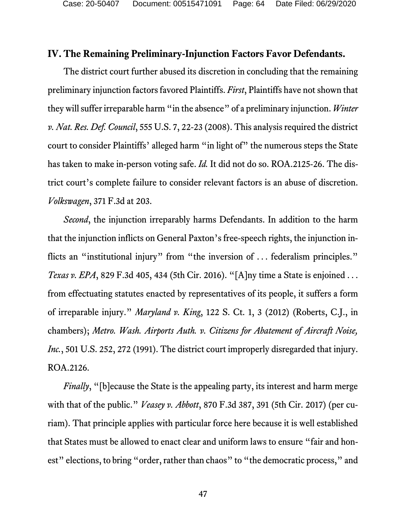## **IV. The Remaining Preliminary-Injunction Factors Favor Defendants.**

The district court further abused its discretion in concluding that the remaining preliminary injunction factors favored Plaintiffs. *First*, Plaintiffs have not shown that they will suffer irreparable harm "in the absence" of a preliminary injunction. *Winter v. Nat. Res. Def. Council*, 555 U.S. 7, 22-23 (2008). This analysis required the district court to consider Plaintiffs' alleged harm "in light of" the numerous steps the State has taken to make in-person voting safe. *Id.* It did not do so. ROA.2125-26. The district court's complete failure to consider relevant factors is an abuse of discretion. *Volkswagen*, 371 F.3d at 203.

<span id="page-63-2"></span>*Second*, the injunction irreparably harms Defendants. In addition to the harm that the injunction inflicts on General Paxton's free-speech rights, the injunction inflicts an "institutional injury" from "the inversion of ... federalism principles." *Texas v. EPA*, 829 F.3d 405, 434 (5th Cir. 2016). "[A]ny time a State is enjoined ... from effectuating statutes enacted by representatives of its people, it suffers a form of irreparable injury." *Maryland v. King*, 122 S. Ct. 1, 3 (2012) (Roberts, C.J., in chambers); *Metro. Wash. Airports Auth. v. Citizens for Abatement of Aircraft Noise, Inc.*, 501 U.S. 252, 272 (1991). The district court improperly disregarded that injury. ROA.2126.

<span id="page-63-3"></span><span id="page-63-1"></span><span id="page-63-0"></span>*Finally*, "[b]ecause the State is the appealing party, its interest and harm merge with that of the public." *Veasey v. Abbott*, 870 F.3d 387, 391 (5th Cir. 2017) (per curiam). That principle applies with particular force here because it is well established that States must be allowed to enact clear and uniform laws to ensure "fair and honest" elections, to bring "order, rather than chaos" to "the democratic process," and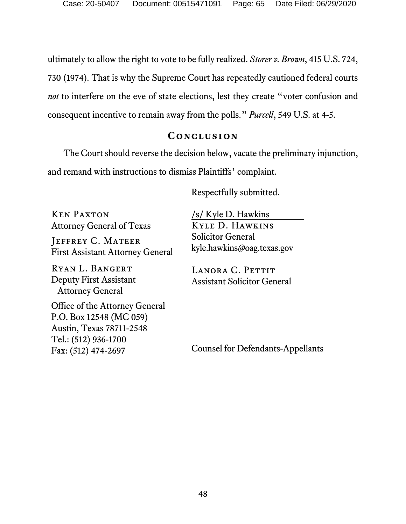ultimately to allow the right to vote to be fully realized. *Storer v. Brown*, 415 U.S. 724, 730 (1974). That is why the Supreme Court has repeatedly cautioned federal courts *not* to interfere on the eve of state elections, lest they create "voter confusion and consequent incentive to remain away from the polls." *Purcell*, 549 U.S. at 4-5.

## <span id="page-64-0"></span>**Conclusion**

The Court should reverse the decision below, vacate the preliminary injunction, and remand with instructions to dismiss Plaintiffs' complaint.

Respectfully submitted.

Ken Paxton Attorney General of Texas

JEFFREY C. MATEER First Assistant Attorney General

Ryan L. Bangert Deputy First Assistant Attorney General

/s/ Kyle D. Hawkins Kyle D. Hawkins Solicitor General kyle.hawkins@oag.texas.gov

LANORA C. PETTIT Assistant Solicitor General

Office of the Attorney General P.O. Box 12548 (MC 059) Austin, Texas 78711-2548 Tel.: (512) 936-1700 Fax: (512) 474-2697

Counsel for Defendants-Appellants